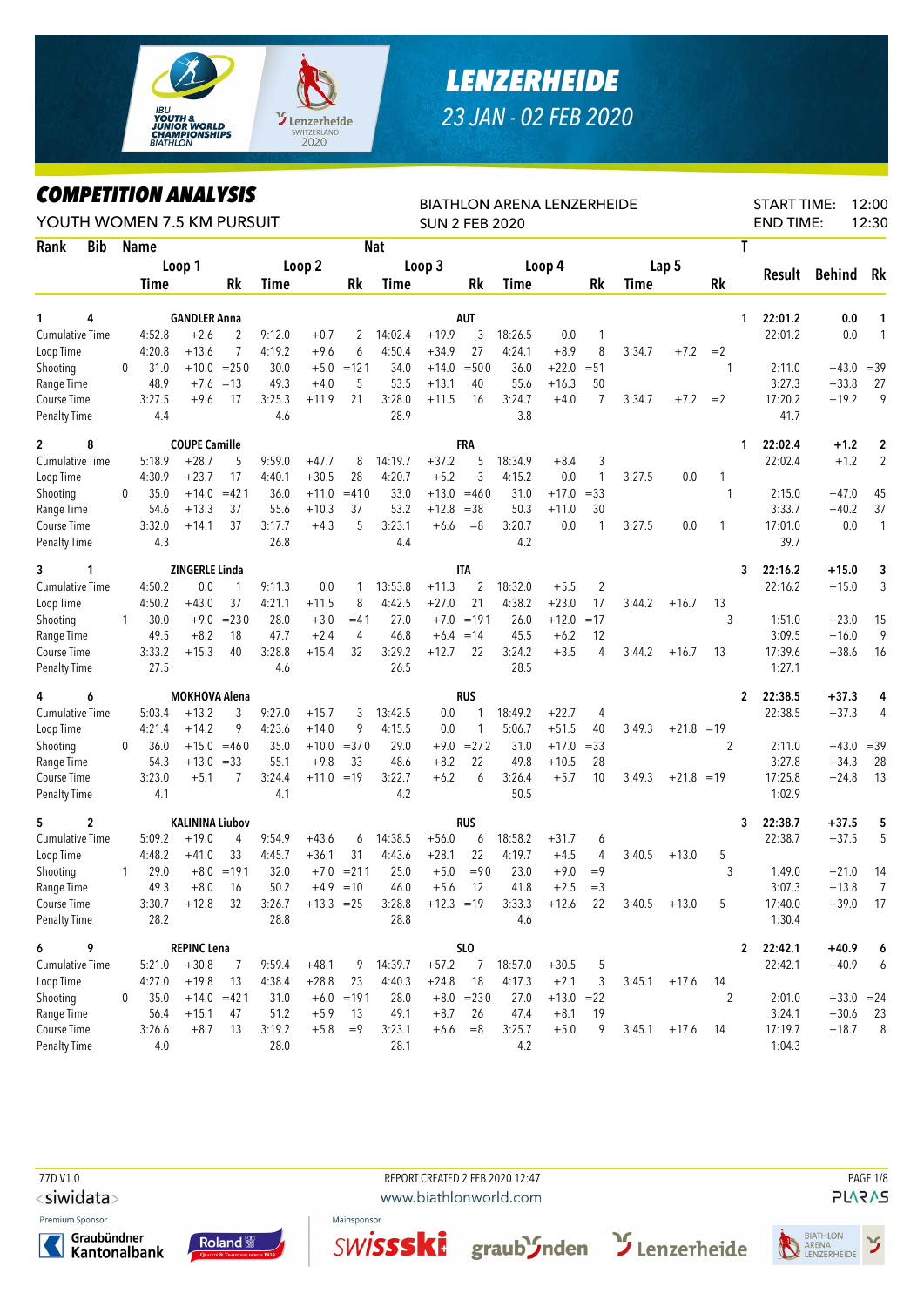

## *LENZERHEIDE 23 JAN - 02 FEB 2020*

## *COMPETITION ANALYSIS*

| <b>COMPETITION ANALYSIS</b>        |   |                |                        |               |                |                   |              |                |                       |              | BIATHLON ARENA LENZERHEIDE |                  |                |        |              |                | <b>START TIME:</b>      |                    | 12:00            |
|------------------------------------|---|----------------|------------------------|---------------|----------------|-------------------|--------------|----------------|-----------------------|--------------|----------------------------|------------------|----------------|--------|--------------|----------------|-------------------------|--------------------|------------------|
| YOUTH WOMEN 7.5 KM PURSUIT         |   |                |                        |               |                |                   |              |                | <b>SUN 2 FEB 2020</b> |              |                            |                  |                |        |              |                | <b>END TIME:</b>        |                    | 12:30            |
| <b>Bib</b><br>Rank                 |   | <b>Name</b>    |                        |               |                |                   |              | <b>Nat</b>     |                       |              |                            |                  |                |        |              |                | T                       |                    |                  |
|                                    |   |                | Loop 1                 |               |                | Loop 2            |              |                | Loop 3                |              |                            | Loop 4           |                |        | Lap 5        |                | Result                  | <b>Behind</b>      | Rk               |
|                                    |   | Time           |                        | Rk            | Time           |                   | Rk           | Time           |                       | Rk           | Time                       |                  | Rk             | Time   |              | <b>Rk</b>      |                         |                    |                  |
| 4<br>1                             |   |                | <b>GANDLER Anna</b>    |               |                |                   |              |                |                       | AUT          |                            |                  |                |        |              |                | 22:01.2<br>1            | 0.0                | 1                |
| <b>Cumulative Time</b>             |   | 4:52.8         | $+2.6$                 | 2             | 9:12.0         | $+0.7$            | 2            | 14:02.4        | $+19.9$               | 3            | 18:26.5                    | 0.0              | $\mathbf{1}$   |        |              |                | 22:01.2                 | 0.0                | 1                |
| Loop Time                          |   | 4:20.8         | $+13.6$                | 7             | 4:19.2         | $+9.6$            | 6            | 4:50.4         | $+34.9$               | 27           | 4:24.1                     | $+8.9$           | 8              | 3:34.7 | $+7.2$       | $=2$           |                         |                    |                  |
| Shooting                           | 0 | 31.0           |                        | $+10.0 = 250$ | 30.0           |                   | $+5.0 = 121$ | 34.0           | $+14.0$               | $= 500$      | 36.0                       | $+22.0$          | $= 51$         |        |              | 1              | 2:11.0                  |                    | $+43.0 = 39$     |
| Range Time                         |   | 48.9           | $+7.6$                 | $=13$         | 49.3           | $+4.0$            | 5            | 53.5           | $+13.1$               | 40           | 55.6                       | $+16.3$          | 50             |        |              |                | 3:27.3                  | $+33.8$            | 27               |
| Course Time                        |   | 3:27.5         | $+9.6$                 | 17            | 3:25.3         | $+11.9$           | 21           | 3:28.0         | $+11.5$               | 16           | 3:24.7                     | $+4.0$           | $\overline{7}$ | 3:34.7 | $+7.2$       | $=2$           | 17:20.2                 | $+19.2$            | 9                |
| <b>Penalty Time</b>                |   | 4.4            |                        |               | 4.6            |                   |              | 28.9           |                       |              | 3.8                        |                  |                |        |              |                | 41.7                    |                    |                  |
| 8<br>$\mathbf{2}$                  |   |                | <b>COUPE Camille</b>   |               |                |                   |              |                |                       | FRA          |                            |                  |                |        |              |                | 22:02.4<br>1            | $+1.2$             | $\boldsymbol{2}$ |
| Cumulative Time                    |   | 5:18.9         | $+28.7$                | 5             | 9:59.0         | $+47.7$           | 8            | 14:19.7        | $+37.2$               | 5            | 18:34.9                    | $+8.4$           | 3              |        |              |                | 22:02.4                 | $+1.2$             | $\overline{2}$   |
| Loop Time                          |   | 4:30.9         | $+23.7$                | 17            | 4:40.1         | $+30.5$           | 28           | 4:20.7         | $+5.2$                | 3            | 4:15.2                     | 0.0              | $\mathbf{1}$   | 3:27.5 | 0.0          | 1              |                         |                    |                  |
| Shooting                           | 0 | 35.0           | $+14.0$                | $=421$        | 36.0           | $+11.0$           | $=410$       | 33.0           | $+13.0$               | $=460$       | 31.0                       | $+17.0$          | $= 33$         |        |              | 1              | 2:15.0                  | $+47.0$            | 45               |
| Range Time                         |   | 54.6           | $+13.3$                | 37            | 55.6           | $+10.3$           | 37           | 53.2           | $+12.8$               | $=38$        | 50.3                       | $+11.0$          | 30             |        |              |                | 3:33.7                  | $+40.2$            | 37               |
| Course Time                        |   | 3:32.0         | $+14.1$                | 37            | 3:17.7         | $+4.3$            | 5            | 3:23.1         | $+6.6$                | $=8$         | 3:20.7                     | 0.0              | $\mathbf{1}$   | 3:27.5 | 0.0          | 1              | 17:01.0                 | 0.0                | $\mathbf{1}$     |
| <b>Penalty Time</b>                |   | 4.3            |                        |               | 26.8           |                   |              | 4.4            |                       |              | 4.2                        |                  |                |        |              |                | 39.7                    |                    |                  |
| 3<br>1                             |   |                | ZINGERLE Linda         |               |                |                   |              |                |                       | <b>ITA</b>   |                            |                  |                |        |              |                | 22:16.2<br>3            | +15.0              | 3                |
| Cumulative Time                    |   | 4:50.2         | 0.0                    | 1             | 9:11.3         | 0.0               | 1            | 13:53.8        | $+11.3$               | 2            | 18:32.0                    | $+5.5$           | $\overline{2}$ |        |              |                | 22:16.2                 | $+15.0$            | 3                |
| Loop Time                          |   | 4:50.2         | $+43.0$                | 37            | 4:21.1         | $+11.5$           | 8            | 4:42.5         | $+27.0$               | 21           | 4:38.2                     | $+23.0$          | 17             | 3:44.2 | $+16.7$      | 13             |                         |                    |                  |
| Shooting                           | 1 | 30.0           | $+9.0$                 | $= 230$       | 28.0           | $+3.0$            | $=41$        | 27.0           | $+7.0$                | $=191$       | 26.0                       | $+12.0$          | $=17$          |        |              | 3              | 1:51.0                  | $+23.0$            | 15               |
| Range Time                         |   | 49.5<br>3:33.2 | $+8.2$<br>$+15.3$      | 18<br>40      | 47.7<br>3:28.8 | $+2.4$<br>$+15.4$ | 4<br>32      | 46.8<br>3:29.2 | $+6.4$<br>$+12.7$     | $=14$<br>22  | 45.5<br>3:24.2             | $+6.2$<br>$+3.5$ | 12<br>4        | 3:44.2 |              | 13             | 3:09.5<br>17:39.6       | $+16.0$<br>$+38.6$ | 9                |
| Course Time<br><b>Penalty Time</b> |   | 27.5           |                        |               | 4.6            |                   |              | 26.5           |                       |              | 28.5                       |                  |                |        | $+16.7$      |                | 1:27.1                  |                    | 16               |
| 4                                  |   |                | <b>MOKHOVA Alena</b>   |               |                |                   |              |                |                       | RUS          |                            |                  |                |        |              |                | 22:38.5<br>2            | $+37.3$            |                  |
| 6<br>Cumulative Time               |   | 5:03.4         | $+13.2$                | 3             | 9:27.0         | $+15.7$           | 3            | 13:42.5        | 0.0                   | 1            | 18:49.2                    | $+22.7$          | 4              |        |              |                | 22:38.5                 | $+37.3$            | 4<br>4           |
| Loop Time                          |   | 4:21.4         | $+14.2$                | 9             | 4:23.6         | $+14.0$           | 9            | 4:15.5         | 0.0                   | 1            | 5:06.7                     | $+51.5$          | 40             | 3:49.3 | $+21.8$      | $=19$          |                         |                    |                  |
| Shooting                           | 0 | 36.0           | $+15.0$                | $=460$        | 35.0           | $+10.0$           | $= 370$      | 29.0           | $+9.0$                | $= 272$      | 31.0                       | $+17.0$          | $= 33$         |        |              | 2              | 2:11.0                  | $+43.0$            | $=39$            |
| Range Time                         |   | 54.3           | $+13.0$                | $=33$         | 55.1           | $+9.8$            | 33           | 48.6           | $+8.2$                | 22           | 49.8                       | $+10.5$          | 28             |        |              |                | 3:27.8                  | $+34.3$            | 28               |
| Course Time                        |   | 3:23.0         | $+5.1$                 | 7             | 3:24.4         | $+11.0 = 19$      |              | 3:22.7         | $+6.2$                | 6            | 3:26.4                     | $+5.7$           | 10             | 3:49.3 | $+21.8 = 19$ |                | 17:25.8                 | $+24.8$            | 13               |
| <b>Penalty Time</b>                |   | 4.1            |                        |               | 4.1            |                   |              | 4.2            |                       |              | 50.5                       |                  |                |        |              |                | 1:02.9                  |                    |                  |
| 2<br>5                             |   |                | <b>KALININA Liubov</b> |               |                |                   |              |                |                       | <b>RUS</b>   |                            |                  |                |        |              |                | 22:38.7<br>3            | $+37.5$            | 5                |
| Cumulative Time                    |   | 5:09.2         | $+19.0$                | 4             | 9:54.9         | $+43.6$           | 6            | 14:38.5        | $+56.0$               | 6            | 18:58.2                    | $+31.7$          | 6              |        |              |                | 22:38.7                 | $+37.5$            | 5                |
| Loop Time                          |   | 4:48.2         | $+41.0$                | 33            | 4:45.7         | $+36.1$           | 31           | 4:43.6         | $+28.1$               | 22           | 4:19.7                     | $+4.5$           | 4              | 3:40.5 | $+13.0$      | 5              |                         |                    |                  |
| Shooting                           | 1 | 29.0           |                        | $+8.0 = 191$  | 32.0           |                   | $+7.0 = 211$ | 25.0           | $+5.0$                | $= 90$       | 23.0                       | $+9.0$           | $=9$           |        |              | 3              | 1:49.0                  | $+21.0$            | 14               |
| Range Time                         |   | 49.3           | $+8.0$                 | 16            | $50.2\,$       | $+4.9$            | $=10$        | 46.0           | $+5.6$                | 12           | 41.8                       | $+2.5$           | $=3$           |        |              |                | 3:07.3                  | $+13.8$            | $\overline{7}$   |
| Course Time                        |   | 3:30.7         | $+12.8$                | 32            | 3:26.7         | $+13.3 = 25$      |              | 3:28.8         | $+12.3 = 19$          |              | 3:33.3                     | $+12.6$          | 22             | 3:40.5 | $+13.0$      | 5              | 17:40.0                 |                    | $+39.0$ 17       |
| <b>Penalty Time</b>                |   | 28.2           |                        |               | 28.8           |                   |              | 28.8           |                       |              | 4.6                        |                  |                |        |              |                | 1:30.4                  |                    |                  |
| 6<br>9                             |   |                | <b>REPINC Lena</b>     |               |                |                   |              |                |                       | <b>SLO</b>   |                            |                  |                |        |              |                | 22:42.1<br>$\mathbf{2}$ | $+40.9$            | 6                |
| Cumulative Time                    |   | 5:21.0         | $+30.8$                | 7             | 9:59.4         | $+48.1$           | 9            | 14:39.7        | $+57.2$               | 7            | 18:57.0                    | $+30.5$          | 5              |        |              |                | 22:42.1                 | $+40.9$            | 6                |
| Loop Time                          |   | 4:27.0         | $+19.8$                | 13            | 4:38.4         | $+28.8$           | 23           | 4:40.3         | $+24.8$               | 18           | 4:17.3                     | $+2.1$           | 3              | 3:45.1 | $+17.6$      | -14            |                         |                    |                  |
| Shooting                           | 0 | 35.0           |                        | $+14.0 = 421$ | 31.0           |                   | $+6.0 = 191$ | 28.0           |                       | $+8.0 = 230$ | 27.0                       | $+13.0 = 22$     |                |        |              | $\overline{2}$ | 2:01.0                  |                    | $+33.0 = 24$     |
| Range Time                         |   | 56.4           | $+15.1$                | 47            | 51.2           | $+5.9$            | 13           | 49.1           | $+8.7$                | 26           | 47.4                       | $+8.1$           | 19             |        |              |                | 3:24.1                  | $+30.6$            | 23               |
| Course Time                        |   | 3:26.6<br>4.0  | $+8.7$                 | 13            | 3:19.2<br>28.0 | $+5.8$            | $=9$         | 3:23.1<br>28.1 | $+6.6$                | $=8$         | 3:25.7<br>4.2              | $+5.0$           | 9              | 3:45.1 | $+17.6$      | -14            | 17:19.7<br>1:04.3       | $+18.7$            | 8                |
| <b>Penalty Time</b>                |   |                |                        |               |                |                   |              |                |                       |              |                            |                  |                |        |              |                |                         |                    |                  |

77D V1.0 REPORT CREATED 2 FEB 2020 12:47 PAGE 1/8

<siwidata>

Premium Sponsor







www.biathlonworld.com





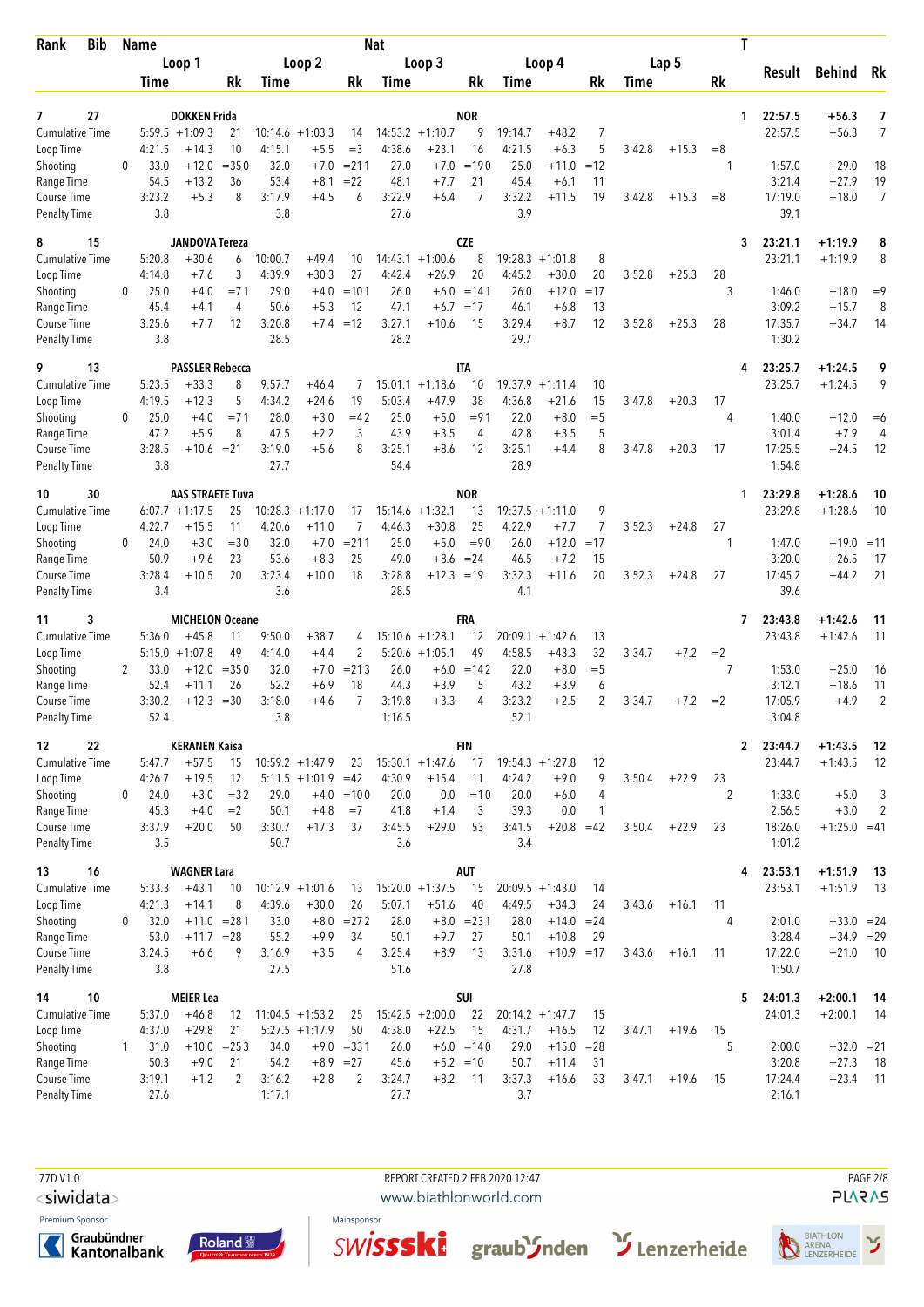| Bib<br>Rank                         |              | Name             |                                          |                |                  |                                        |                      | <b>Nat</b>        |                                         |                 |                   |                               |                   |        |         |      | Τ                       |                    |                     |
|-------------------------------------|--------------|------------------|------------------------------------------|----------------|------------------|----------------------------------------|----------------------|-------------------|-----------------------------------------|-----------------|-------------------|-------------------------------|-------------------|--------|---------|------|-------------------------|--------------------|---------------------|
|                                     |              |                  | Loop 1                                   |                |                  | Loop 2                                 |                      |                   | Loop 3                                  |                 |                   | Loop 4                        |                   |        | Lap 5   |      | Result                  | Behind Rk          |                     |
|                                     |              | Time             |                                          | Rk             | Time             |                                        | Rk                   | Time              |                                         | Rk              | Time              |                               | Rk                | Time   |         | Rk   |                         |                    |                     |
|                                     |              |                  |                                          |                |                  |                                        |                      |                   |                                         |                 |                   |                               |                   |        |         |      |                         |                    |                     |
| 27<br>7<br><b>Cumulative Time</b>   |              |                  | <b>DOKKEN Frida</b><br>$5:59.5 + 1:09.3$ | 21             | 10:14.6          | $+1:03.3$                              | 14                   |                   | $14:53.2 +1:10.7$                       | <b>NOR</b><br>9 | 19:14.7           | $+48.2$                       | 7                 |        |         |      | 22:57.5<br>1<br>22:57.5 | $+56.3$<br>$+56.3$ | 7<br>7              |
| Loop Time                           |              | 4:21.5           | $+14.3$                                  | 10             | 4:15.1           | $+5.5$                                 | $=$ 3                | 4:38.6            | $+23.1$                                 | 16              | 4:21.5            | $+6.3$                        | 5                 | 3:42.8 | $+15.3$ | $=8$ |                         |                    |                     |
| Shooting                            | $\Omega$     | 33.0             | $+12.0$                                  | $= 350$        | 32.0             | $+7.0$                                 | $= 211$              | 27.0              | $+7.0$                                  | $=190$          | 25.0              | $+11.0$                       | $=12$             |        |         | 1    | 1:57.0                  | $+29.0$            | 18                  |
| Range Time                          |              | 54.5             | $+13.2$                                  | 36             | 53.4             | $+8.1$                                 | $=22$                | 48.1              | $+7.7$                                  | 21              | 45.4              | $+6.1$                        | 11                |        |         |      | 3:21.4                  | $+27.9$            | 19                  |
| Course Time                         |              | 3:23.2           | $+5.3$                                   | 8              | 3:17.9           | $+4.5$                                 | 6                    | 3:22.9            | $+6.4$                                  | $\overline{7}$  | 3:32.2            | $+11.5$                       | 19                | 3:42.8 | $+15.3$ | $=8$ | 17:19.0                 | $+18.0$            | $\overline{7}$      |
| <b>Penalty Time</b>                 |              | 3.8              |                                          |                | 3.8              |                                        |                      | 27.6              |                                         |                 | 3.9               |                               |                   |        |         |      | 39.1                    |                    |                     |
| 15<br>8                             |              |                  | <b>JANDOVA Tereza</b>                    |                |                  |                                        |                      |                   |                                         | <b>CZE</b>      |                   |                               |                   |        |         |      | 23:21.1<br>3            | $+1:19.9$          | 8                   |
| <b>Cumulative Time</b>              |              | 5:20.8           | $+30.6$                                  | 6              | 10:00.7          | +49.4                                  | 10                   | 14:43.1           | $+1:00.6$                               | 8               | 19:28.3           | $+1:01.8$                     | 8                 |        |         |      | 23:21.1                 | $+1:19.9$          | 8                   |
| Loop Time                           |              | 4:14.8           | $+7.6$                                   | 3              | 4:39.9           | $+30.3$                                | 27                   | 4:42.4            | $+26.9$                                 | 20              | 4:45.2            | $+30.0$                       | 20                | 3:52.8 | $+25.3$ | 28   |                         |                    |                     |
| Shooting                            | 0            | 25.0             | $+4.0$                                   | $= 71$         | 29.0             | $+4.0$                                 | $=101$               | 26.0              |                                         | $+6.0 = 141$    | 26.0              | $+12.0$                       | $=17$             |        |         | 3    | 1:46.0                  | $+18.0$            | $=9$                |
| Range Time                          |              | 45.4             | $+4.1$                                   | 4              | 50.6             | $+5.3$                                 | 12                   | 47.1              | $+6.7 = 17$                             |                 | 46.1              | $+6.8$                        | 13                |        |         |      | 3:09.2                  | $+15.7$            | 8                   |
| Course Time<br><b>Penalty Time</b>  |              | 3:25.6<br>3.8    | $+7.7$                                   | 12             | 3:20.8<br>28.5   |                                        | $+7.4 = 12$          | 3:27.1<br>28.2    | $+10.6$                                 | 15              | 3:29.4<br>29.7    | $+8.7$                        | 12                | 3:52.8 | $+25.3$ | 28   | 17:35.7<br>1:30.2       | $+34.7$            | 14                  |
|                                     |              |                  |                                          |                |                  |                                        |                      |                   |                                         |                 |                   |                               |                   |        |         |      |                         |                    |                     |
| 9<br>13                             |              |                  | <b>PASSLER Rebecca</b>                   |                |                  |                                        |                      |                   |                                         | IΤΑ             |                   |                               |                   |        |         |      | 23:25.7                 | $+1:24.5$          | 9                   |
| <b>Cumulative Time</b><br>Loop Time |              | 5:23.5<br>4:19.5 | $+33.3$<br>$+12.3$                       | 8<br>5         | 9:57.7<br>4:34.2 | $+46.4$<br>$+24.6$                     | 7<br>19              | 15:01.1<br>5:03.4 | $+1:18.6$<br>$+47.9$                    | 10<br>38        | 19:37.9<br>4:36.8 | $+1:11.4$<br>$+21.6$          | 10<br>15          | 3:47.8 | $+20.3$ | 17   | 23:25.7                 | $+1:24.5$          | 9                   |
| Shooting                            | 0            | 25.0             | $+4.0$                                   | $= 71$         | 28.0             | $+3.0$                                 | $=42$                | 25.0              | $+5.0$                                  | $= 91$          | 22.0              | $+8.0$                        | $=$ 5             |        |         | 4    | 1:40.0                  | $+12.0$            | $=6$                |
| Range Time                          |              | 47.2             | $+5.9$                                   | 8              | 47.5             | $+2.2$                                 | 3                    | 43.9              | $+3.5$                                  | 4               | 42.8              | $+3.5$                        | 5                 |        |         |      | 3:01.4                  | $+7.9$             | 4                   |
| Course Time                         |              | 3:28.5           | $+10.6 = 21$                             |                | 3:19.0           | $+5.6$                                 | 8                    | 3:25.1            | $+8.6$                                  | 12              | 3:25.1            | $+4.4$                        | 8                 | 3:47.8 | $+20.3$ | 17   | 17:25.5                 | $+24.5$            | 12                  |
| <b>Penalty Time</b>                 |              | 3.8              |                                          |                | 27.7             |                                        |                      | 54.4              |                                         |                 | 28.9              |                               |                   |        |         |      | 1:54.8                  |                    |                     |
| 30<br>10                            |              |                  | <b>AAS STRAETE Tuva</b>                  |                |                  |                                        |                      |                   |                                         | <b>NOR</b>      |                   |                               |                   |        |         |      | 23:29.8<br>1            | $+1:28.6$          | 10                  |
| Cumulative Time                     |              |                  | $6:07.7 +1:17.5$                         | 25             |                  | $10:28.3 + 1:17.0$                     | 17                   |                   | $15:14.6 + 1:32.1$                      | 13              |                   | $19:37.5 + 1:11.0$            | 9                 |        |         |      | 23:29.8                 | $+1:28.6$          | 10                  |
| Loop Time                           |              | 4:22.7           | $+15.5$                                  | 11             | 4:20.6           | +11.0                                  | 7                    | 4:46.3            | $+30.8$                                 | 25              | 4:22.9            | $+7.7$                        | 7                 | 3:52.3 | $+24.8$ | 27   |                         |                    |                     |
| Shooting                            | 0            | 24.0             | $+3.0$                                   | $=$ 30         | 32.0             | $+7.0$                                 | $= 211$              | 25.0              | $+5.0$                                  | $=90$           | 26.0              | $+12.0$                       | $=17$             |        |         | 1    | 1:47.0                  | $+19.0$            | $=11$               |
| Range Time<br>Course Time           |              | 50.9<br>3:28.4   | $+9.6$<br>$+10.5$                        | 23<br>20       | 53.6<br>3:23.4   | $+8.3$<br>$+10.0$                      | 25<br>18             | 49.0<br>3:28.8    | $+8.6 = 24$<br>$+12.3 = 19$             |                 | 46.5<br>3:32.3    | $+7.2$<br>$+11.6$             | 15<br>20          | 3:52.3 | $+24.8$ | 27   | 3:20.0<br>17:45.2       | $+26.5$<br>$+44.2$ | 17<br>21            |
| <b>Penalty Time</b>                 |              | 3.4              |                                          |                | 3.6              |                                        |                      | 28.5              |                                         |                 | 4.1               |                               |                   |        |         |      | 39.6                    |                    |                     |
|                                     |              |                  |                                          |                |                  |                                        |                      |                   |                                         |                 |                   |                               |                   |        |         |      |                         |                    |                     |
| 3<br>11                             |              |                  | <b>MICHELON Oceane</b>                   |                |                  |                                        |                      |                   |                                         | FRA             |                   |                               |                   |        |         |      | 23:43.8<br>7            | +1:42.6            | 11                  |
| <b>Cumulative Time</b><br>Loop Time |              | 5:36.0           | $+45.8$<br>$5:15.0 + 1:07.8$             | 11<br>49       | 9:50.0<br>4:14.0 | $+38.7$<br>$+4.4$                      | 4<br>$\overline{2}$  |                   | $15:10.6 + 1:28.1$<br>$5:20.6 + 1:05.1$ | 12<br>49        | 20:09.1<br>4:58.5 | $+1:42.6$<br>$+43.3$          | 13<br>32          | 3:34.7 | $+7.2$  | $=2$ | 23:43.8                 | $+1:42.6$          | 11                  |
| Shooting                            | 2            | 33.0             | $+12.0$                                  | $= 350$        | 32.0             | $+7.0$                                 | $= 213$              | 26.0              | $+6.0$                                  | $=142$          | 22.0              | $+8.0$                        | $=$ 5             |        |         | 7    | 1:53.0                  | $+25.0$            | 16                  |
| Range Time                          |              | 52.4             | $+11.1$                                  | 26             | 52.2             | $+6.9$                                 | 18                   | 44.3              | $+3.9$                                  | 5               | 43.2              | $+3.9$                        | 6                 |        |         |      | 3:12.1                  | $+18.6$            | 11                  |
| Course Time                         |              | 3:30.2           | $+12.3$                                  | $=30$          | 3:18.0           | $+4.6$                                 | 7                    | 3:19.8            | $+3.3$                                  | 4               | 3:23.2            | $+2.5$                        | $\overline{2}$    | 3:34.7 | $+7.2$  | $=2$ | 17:05.9                 | $+4.9$             | $\overline{2}$      |
| Penalty Time                        |              | 52.4             |                                          |                | 3.8              |                                        |                      | 1:16.5            |                                         |                 | 52.1              |                               |                   |        |         |      | 3:04.8                  |                    |                     |
| 22<br>12                            |              |                  | <b>KERANEN Kaisa</b>                     |                |                  |                                        |                      |                   |                                         | FIN             |                   |                               |                   |        |         |      | 2 23:44.7               | $+1:43.5$          | -12                 |
| Cumulative Time                     |              | 5:47.7           | $+57.5$                                  | 15             |                  | $10:59.2 + 1:47.9$                     | 23                   |                   | $15:30.1 + 1:47.6$                      | 17              |                   | $19:54.3 + 1:27.8$            | 12                |        |         |      | 23:44.7                 | $+1:43.5$          | -12                 |
| Loop Time                           |              | 4:26.7           | $+19.5$                                  | 12             |                  | $5:11.5 +1:01.9 = 42$                  |                      | 4:30.9            | $+15.4$                                 | 11              | 4:24.2            | $+9.0$                        | 9                 | 3:50.4 | $+22.9$ | 23   |                         |                    |                     |
| Shooting<br>Range Time              | 0            | 24.0<br>45.3     | $+3.0$<br>$+4.0$                         | $= 32$<br>$=2$ | 29.0<br>50.1     | $+4.8$                                 | $+4.0 = 100$<br>$=7$ | 20.0<br>41.8      | 0.0<br>$+1.4$                           | $=10$<br>3      | 20.0<br>39.3      | $+6.0$<br>0.0                 | 4<br>$\mathbf{1}$ |        |         | 2    | 1:33.0<br>2:56.5        | $+5.0$<br>$+3.0$   | 3<br>$\overline{2}$ |
| Course Time                         |              | 3:37.9           | $+20.0$                                  | 50             | 3:30.7           | $+17.3$                                | 37                   | 3:45.5            | $+29.0$                                 | 53              | 3:41.5            | $+20.8 = 42$                  |                   | 3:50.4 | $+22.9$ | 23   | 18:26.0                 | $+1:25.0 = 41$     |                     |
| <b>Penalty Time</b>                 |              | 3.5              |                                          |                | 50.7             |                                        |                      | 3.6               |                                         |                 | 3.4               |                               |                   |        |         |      | 1:01.2                  |                    |                     |
| 16<br>13                            |              |                  | <b>WAGNER Lara</b>                       |                |                  |                                        |                      |                   |                                         | AUT             |                   |                               |                   |        |         |      | 23:53.1<br>4            | $+1:51.9$          | -13                 |
| <b>Cumulative Time</b>              |              | 5:33.3           | $+43.1$                                  | 10             |                  | $10:12.9 + 1:01.6$                     | 13                   |                   | $15:20.0 + 1:37.5$                      | 15              |                   | $20:09.5 + 1:43.0$            | 14                |        |         |      | 23:53.1                 | $+1:51.9$          | - 13                |
| Loop Time                           |              | 4:21.3           | $+14.1$                                  | 8              | 4:39.6           | $+30.0$                                | 26                   | 5:07.1            | $+51.6$                                 | 40              | 4:49.5            | $+34.3$                       | 24                | 3:43.6 | $+16.1$ | 11   |                         |                    |                     |
| Shooting                            | 0            | 32.0             | $+11.0 = 281$                            |                | 33.0             |                                        | $+8.0 = 272$         | 28.0              |                                         | $+8.0 = 231$    | 28.0              | $+14.0$                       | $= 24$            |        |         | 4    | 2:01.0                  | $+33.0 = 24$       |                     |
| Range Time                          |              | 53.0             | $+11.7 = 28$                             |                | 55.2             | $+9.9$                                 | 34                   | 50.1              | $+9.7$                                  | 27              | 50.1              | $+10.8$                       | 29                |        |         |      | 3:28.4                  | $+34.9 = 29$       |                     |
| Course Time<br><b>Penalty Time</b>  |              | 3:24.5<br>3.8    | $+6.6$                                   | 9              | 3:16.9<br>27.5   | $+3.5$                                 | 4                    | 3:25.4<br>51.6    | $+8.9$                                  | 13              | 3:31.6<br>27.8    | $+10.9 = 17$                  |                   | 3:43.6 | $+16.1$ | 11   | 17:22.0<br>1:50.7       | $+21.0$            | - 10                |
|                                     |              |                  |                                          |                |                  |                                        |                      |                   |                                         |                 |                   |                               |                   |        |         |      |                         |                    |                     |
| 14<br>10                            |              |                  | <b>MEIER Lea</b>                         |                |                  |                                        |                      |                   |                                         | SUI             |                   |                               |                   |        |         |      | 5<br>24:01.3            | $+2:00.1$          | -14                 |
| Cumulative Time<br>Loop Time        |              | 5:37.0<br>4:37.0 | $+46.8$<br>$+29.8$                       | 12<br>21       |                  | $11:04.5 + 1:53.2$<br>$5:27.5 +1:17.9$ | 25<br>50             | 4:38.0            | $15:42.5 + 2:00.0$<br>$+22.5$           | 22<br>15        | 4:31.7            | $20:14.2 + 1:47.7$<br>$+16.5$ | 15<br>12          | 3:47.1 | $+19.6$ | 15   | 24:01.3                 | $+2:00.1$          | -14                 |
| Shooting                            | $\mathbf{1}$ | 31.0             | $+10.0 = 253$                            |                | 34.0             |                                        | $+9.0 = 331$         | 26.0              |                                         | $+6.0 = 140$    | 29.0              | $+15.0 = 28$                  |                   |        |         | 5    | 2:00.0                  | $+32.0 = 21$       |                     |
| Range Time                          |              | 50.3             | $+9.0$                                   | 21             | 54.2             | $+8.9 = 27$                            |                      | 45.6              | $+5.2 = 10$                             |                 | 50.7              | $+11.4$                       | 31                |        |         |      | 3:20.8                  | $+27.3$            | - 18                |
| Course Time                         |              | 3:19.1           | $+1.2$                                   | $\overline{2}$ | 3:16.2           | $+2.8$                                 | 2                    | 3:24.7            | $+8.2$                                  | -11             | 3:37.3            | $+16.6$                       | 33                | 3:47.1 | $+19.6$ | - 15 | 17:24.4                 | $+23.4$            | 11                  |
| <b>Penalty Time</b>                 |              | 27.6             |                                          |                | 1:17.1           |                                        |                      | 27.7              |                                         |                 | 3.7               |                               |                   |        |         |      | 2:16.1                  |                    |                     |

<siwidata>

Premium Sponsor





REPORT CREATED 2 FEB 2020 12:47 www.biathlonworld.com Mainsponsor

Swissski

**PAGE 2/8 PLARAS** 



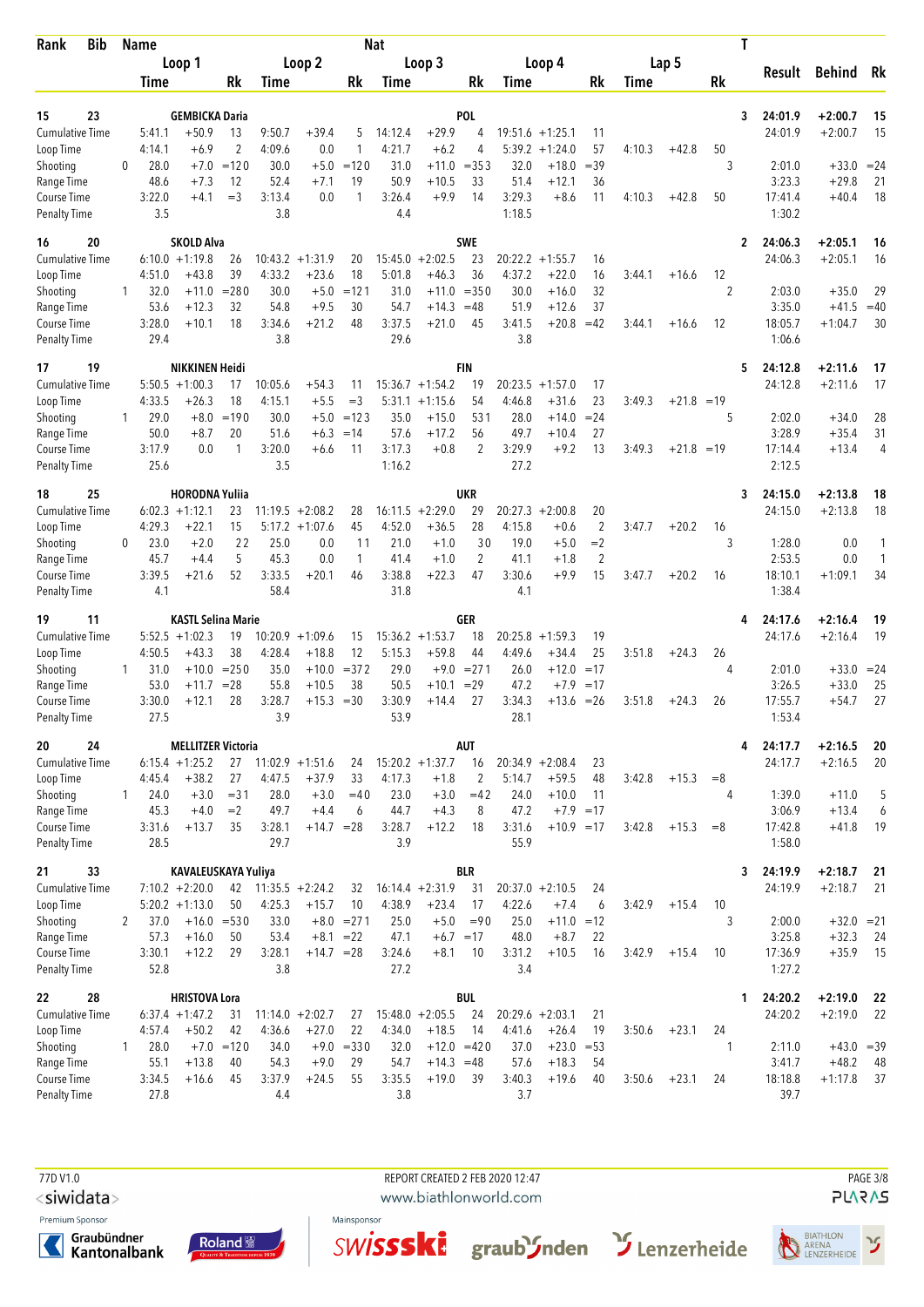| Bib<br>Rank                         |              | <b>Name</b>    |                              |                    |                   |                          |                             | <b>Nat</b>     |                               |                      |                   |                         |                        |             |              | Τ                    |                   |                         |                |
|-------------------------------------|--------------|----------------|------------------------------|--------------------|-------------------|--------------------------|-----------------------------|----------------|-------------------------------|----------------------|-------------------|-------------------------|------------------------|-------------|--------------|----------------------|-------------------|-------------------------|----------------|
|                                     |              |                | Loop 1                       |                    |                   | Loop 2                   |                             |                | Loop 3                        |                      |                   | Loop 4                  |                        |             | Lap 5        |                      | Result            | Behind                  | Rk             |
|                                     |              | Time           |                              | Rk                 | Time              |                          | Rk                          | Time           |                               | Rk                   | Time              |                         | Rk                     | <b>Time</b> |              | Rk                   |                   |                         |                |
| 15<br>23                            |              |                | <b>GEMBICKA Daria</b>        |                    |                   |                          |                             |                |                               | <b>POL</b>           |                   |                         |                        |             |              | 3                    | 24:01.9           | $+2:00.7$               | 15             |
| <b>Cumulative Time</b>              |              | 5:41.1         | $+50.9$                      | 13                 | 9:50.7            | $+39.4$                  | 5                           | 14:12.4        | $+29.9$                       | 4                    | 19:51.6           | $+1:25.1$               | 11                     |             |              |                      | 24:01.9           | $+2:00.7$               | 15             |
| Loop Time                           |              | 4:14.1         | $+6.9$                       | $\overline{2}$     | 4:09.6            | 0.0                      | $\mathbf{1}$                | 4:21.7         | $+6.2$                        | 4                    | 5:39.2            | $+1:24.0$               | 57                     | 4:10.3      | $+42.8$      | 50                   |                   |                         |                |
| Shooting                            | 0            | 28.0           | $+7.0$                       | $=120$             | 30.0              | $+5.0$                   | $=120$                      | 31.0           | $+11.0$                       | $= 353$              | 32.0              | $+18.0$                 | $=39$                  |             |              | 3                    | 2:01.0            | $+33.0 = 24$            |                |
| Range Time                          |              | 48.6           | $+7.3$                       | 12                 | 52.4              | $+7.1$                   | 19                          | 50.9           | $+10.5$                       | 33                   | 51.4              | $+12.1$                 | 36                     |             |              |                      | 3:23.3            | $+29.8$                 | 21             |
| Course Time<br><b>Penalty Time</b>  |              | 3:22.0<br>3.5  | $+4.1$                       | $=$ 3              | 3:13.4<br>3.8     | 0.0                      | 1                           | 3:26.4<br>4.4  | $+9.9$                        | 14                   | 3:29.3<br>1:18.5  | $+8.6$                  | 11                     | 4:10.3      | $+42.8$      | 50                   | 17:41.4<br>1:30.2 | $+40.4$                 | 18             |
| 20<br>16                            |              |                | <b>SKOLD Alva</b>            |                    |                   |                          |                             |                |                               | <b>SWE</b>           |                   |                         |                        |             |              | 2                    | 24:06.3           | $+2:05.1$               | 16             |
| <b>Cumulative Time</b>              |              |                | $6:10.0 + 1:19.8$            | 26                 | 10:43.2           | $+1:31.9$                | 20                          |                | $15:45.0 + 2:02.5$            | 23                   |                   | $20:22.2 + 1:55.7$      | 16                     |             |              |                      | 24:06.3           | $+2:05.1$               | 16             |
| Loop Time                           |              | 4:51.0         | $+43.8$                      | 39                 | 4:33.2            | $+23.6$                  | 18                          | 5:01.8         | $+46.3$                       | 36                   | 4:37.2            | $+22.0$                 | 16                     | 3:44.1      | $+16.6$      | 12                   |                   |                         |                |
| Shooting<br>Range Time              | 1            | 32.0<br>53.6   | $+11.0$<br>$+12.3$           | $= 280$<br>32      | 30.0<br>54.8      | $+5.0$<br>$+9.5$         | $=121$<br>30                | 31.0<br>54.7   | $+11.0$<br>$+14.3$            | $= 350$<br>$=48$     | 30.0<br>51.9      | $+16.0$<br>$+12.6$      | 32<br>37               |             |              | $\overline{2}$       | 2:03.0<br>3:35.0  | $+35.0$<br>$+41.5$      | 29<br>$=40$    |
| Course Time                         |              | 3:28.0         | $+10.1$                      | 18                 | 3:34.6            | $+21.2$                  | 48                          | 3:37.5         | $+21.0$                       | 45                   | 3:41.5            | $+20.8$                 | $=42$                  | 3:44.1      | $+16.6$      | 12                   | 18:05.7           | $+1:04.7$               | 30             |
| <b>Penalty Time</b>                 |              | 29.4           |                              |                    | 3.8               |                          |                             | 29.6           |                               |                      | 3.8               |                         |                        |             |              |                      | 1:06.6            |                         |                |
| 19<br>17                            |              |                | <b>NIKKINEN Heidi</b>        |                    |                   |                          |                             |                |                               | FIN                  |                   |                         |                        |             |              | 5                    | 24:12.8           | $+2:11.6$               | 17             |
| <b>Cumulative Time</b>              |              |                | $5:50.5 + 1:00.3$            | 17<br>18           | 10:05.6           | $+54.3$                  | 11                          |                | $15:36.7 + 1:54.2$            | 19                   | 20:23.5           | $+1:57.0$               | 17<br>23               |             |              |                      | 24:12.8           | $+2:11.6$               | 17             |
| Loop Time<br>Shooting               | $\mathbf{1}$ | 4:33.5<br>29.0 | $+26.3$<br>$+8.0$            | $=190$             | 4:15.1<br>30.0    | $+5.5$<br>$+5.0$         | $=$ 3<br>$=123$             | 5:31.1<br>35.0 | $+1:15.6$<br>$+15.0$          | 54<br>531            | 4:46.8<br>28.0    | $+31.6$<br>$+14.0$      | $= 24$                 | 3:49.3      | $+21.8 = 19$ | 5                    | 2:02.0            | $+34.0$                 | 28             |
| Range Time                          |              | 50.0           | $+8.7$                       | 20                 | 51.6              | $+6.3$                   | $=14$                       | 57.6           | $+17.2$                       | 56                   | 49.7              | $+10.4$                 | 27                     |             |              |                      | 3:28.9            | $+35.4$                 | 31             |
| Course Time                         |              | 3:17.9         | 0.0                          | 1                  | 3:20.0            | $+6.6$                   | 11                          | 3:17.3         | $+0.8$                        | $\overline{2}$       | 3:29.9            | $+9.2$                  | 13                     | 3:49.3      | $+21.8 = 19$ |                      | 17:14.4           | $+13.4$                 | $\overline{4}$ |
| <b>Penalty Time</b>                 |              | 25.6           |                              |                    | 3.5               |                          |                             | 1:16.2         |                               |                      | 27.2              |                         |                        |             |              |                      | 2:12.5            |                         |                |
| 25<br>18                            |              |                | <b>HORODNA Yuliia</b>        |                    |                   |                          |                             |                |                               | UKR                  |                   |                         |                        |             |              | 3                    | 24:15.0           | $+2:13.8$               | 18             |
| <b>Cumulative Time</b>              |              |                | $6:02.3 +1:12.1$             | 23                 |                   | $11:19.5 + 2:08.2$       | 28                          |                | $16:11.5 + 2:29.0$            | 29                   |                   | $20:27.3 + 2:00.8$      | 20                     |             |              |                      | 24:15.0           | $+2:13.8$               | 18             |
| Loop Time<br>Shooting               | 0            | 4:29.3<br>23.0 | +22.1<br>$+2.0$              | 15<br>22           | 25.0              | $5:17.2 + 1:07.6$<br>0.0 | 45<br>11                    | 4:52.0<br>21.0 | $+36.5$<br>$+1.0$             | 28<br>30             | 4:15.8<br>19.0    | $+0.6$<br>$+5.0$        | $\overline{2}$<br>$=2$ | 3:47.7      | $+20.2$      | 16<br>3              | 1:28.0            | 0.0                     | 1              |
| Range Time                          |              | 45.7           | $+4.4$                       | 5                  | 45.3              | 0.0                      | $\mathbf{1}$                | 41.4           | $+1.0$                        | $\overline{2}$       | 41.1              | $+1.8$                  | $\overline{2}$         |             |              |                      | 2:53.5            | 0.0                     | 1              |
| Course Time                         |              | 3:39.5         | $+21.6$                      | 52                 | 3:33.5            | $+20.1$                  | 46                          | 3:38.8         | $+22.3$                       | 47                   | 3:30.6            | $+9.9$                  | 15                     | 3:47.7      | $+20.2$      | 16                   | 18:10.1           | $+1:09.1$               | 34             |
| <b>Penalty Time</b>                 |              | 4.1            |                              |                    | 58.4              |                          |                             | 31.8           |                               |                      | 4.1               |                         |                        |             |              |                      | 1:38.4            |                         |                |
| 11<br>19                            |              |                | <b>KASTL Selina Marie</b>    |                    |                   |                          |                             |                |                               | GER                  |                   |                         |                        |             |              | 4                    | 24:17.6           | $+2:16.4$               | 19             |
| <b>Cumulative Time</b><br>Loop Time |              | 4:50.5         | $5:52.5 + 1:02.3$<br>$+43.3$ | 19<br>38           | 10:20.9<br>4:28.4 | $+1:09.6$<br>$+18.8$     | 15<br>12                    | 5:15.3         | $15:36.2 + 1:53.7$<br>$+59.8$ | 18<br>44             | 20:25.8<br>4:49.6 | $+1:59.3$<br>$+34.4$    | 19<br>25               | 3:51.8      | $+24.3$      | 26                   | 24:17.6           | $+2:16.4$               | 19             |
| Shooting                            | 1            | 31.0           | $+10.0$                      | $= 250$            | 35.0              | $+10.0$                  | $= 372$                     | 29.0           | $+9.0$                        | $= 271$              | 26.0              | $+12.0$                 | $=17$                  |             |              | 4                    | 2:01.0            | $+33.0 = 24$            |                |
| Range Time                          |              | 53.0           | $+11.7$                      | $= 28$             | 55.8              | $+10.5$                  | 38                          | 50.5           | $+10.1$                       | $=29$                | 47.2              | $+7.9$                  | $=17$                  |             |              |                      | 3:26.5            | $+33.0$                 | 25             |
| Course Time<br><b>Penalty Time</b>  |              | 3:30.0<br>27.5 | $+12.1$                      | 28                 | 3:28.7<br>3.9     | $+15.3$                  | $=30$                       | 3:30.9<br>53.9 | $+14.4$                       | 27                   | 3:34.3<br>28.1    | $+13.6$                 | $=26$                  | 3:51.8      | $+24.3$      | 26                   | 17:55.7<br>1:53.4 | $+54.7$                 | 27             |
| 20<br>24                            |              |                | <b>MELLITZER Victoria</b>    |                    |                   |                          |                             |                |                               | AUT                  |                   |                         |                        |             |              | 4                    | 24:17.7           | $+2:16.5$               | 20             |
| Cumulative Time                     |              |                | $6:15.4 +1:25.2$             |                    |                   | $27$ 11:02.9 +1:51.6     | 24                          |                | $15:20.2 + 1:37.7$            | 16                   |                   | $20:34.9 + 2:08.4$      | 23                     |             |              |                      | 24:17.7           | $+2:16.5$               | 20             |
| Loop Time                           |              | 4:45.4         | $+38.2$                      | 27                 | 4:47.5            | $+37.9$                  | 33                          | 4:17.3         | $+1.8$                        | 2                    | 5:14.7            | $+59.5$                 | 48                     | 3:42.8      | $+15.3$      | $=8$                 |                   |                         |                |
| Shooting                            | 1            | 24.0           | $+3.0$                       | $= 31$             | 28.0              | $+3.0$                   | $=40$                       | 23.0           | $+3.0$                        | $=42$                | 24.0              | $+10.0$                 | -11                    |             |              | 4                    | 1:39.0            | $+11.0$                 | 5              |
| Range Time                          |              | 45.3           | $+4.0$                       | $=2$               | 49.7              | $+4.4$                   | 6                           | 44.7           | $+4.3$                        | 8                    | 47.2              | $+7.9 = 17$             |                        |             |              |                      | 3:06.9            | $+13.4$                 | 6              |
| Course Time<br><b>Penalty Time</b>  |              | 3:31.6<br>28.5 | $+13.7$                      | 35                 | 3:28.1<br>29.7    | $+14.7 = 28$             |                             | 3:28.7<br>3.9  | $+12.2$                       | 18                   | 3:31.6<br>55.9    | $+10.9 = 17$            |                        | 3:42.8      | $+15.3$      | $= 8$                | 17:42.8<br>1:58.0 | $+41.8$                 | 19             |
| 33<br>21                            |              |                | <b>KAVALEUSKAYA Yuliya</b>   |                    |                   |                          |                             |                |                               | BLR                  |                   |                         |                        |             |              | 3                    | 24:19.9           | $+2:18.7$               | 21             |
| <b>Cumulative Time</b>              |              |                | $7:10.2 +2:20.0$             | 42                 |                   | $11:35.5 + 2:24.2$       | 32                          |                | $16:14.4 + 2:31.9$            | 31                   |                   | $20:37.0 + 2:10.5$      | 24                     |             |              |                      | 24:19.9           | $+2:18.7$               | 21             |
| Loop Time                           |              |                | $5:20.2 +1:13.0$             | 50                 | 4:25.3            | $+15.7$                  | 10                          | 4:38.9         | $+23.4$                       | 17                   | 4:22.6            | $+7.4$                  | 6                      | 3:42.9      | $+15.4$      | 10                   |                   |                         |                |
| Shooting<br>Range Time              | 2            | 37.0<br>57.3   | $+16.0 = 530$<br>$+16.0$     | 50                 | 33.0<br>53.4      |                          | $+8.0 = 271$<br>$+8.1 = 22$ | 25.0<br>47.1   | $+5.0$                        | $=90$<br>$+6.7 = 17$ | 25.0<br>48.0      | $+11.0$<br>$+8.7$       | $=12$<br>22            |             |              | 3                    | 2:00.0<br>3:25.8  | $+32.0 = 21$<br>$+32.3$ | 24             |
| Course Time                         |              | 3:30.1         | $+12.2$                      | 29                 | 3:28.1            | $+14.7 = 28$             |                             | 3:24.6         | $+8.1$                        | 10                   | 3:31.2            | $+10.5$                 | 16                     | 3:42.9      | $+15.4$      | 10                   | 17:36.9           | $+35.9$                 | 15             |
| <b>Penalty Time</b>                 |              | 52.8           |                              |                    | 3.8               |                          |                             | 27.2           |                               |                      | 3.4               |                         |                        |             |              |                      | 1:27.2            |                         |                |
| 22<br>28                            |              |                | <b>HRISTOVA Lora</b>         |                    |                   |                          |                             |                |                               | <b>BUL</b>           |                   |                         |                        |             |              | 1                    | 24:20.2           | $+2:19.0$               | 22             |
| <b>Cumulative Time</b>              |              |                | $6:37.4 +1:47.2$             | 31                 |                   | $11:14.0 + 2:02.7$       | 27                          |                | $15:48.0 + 2:05.5$            | 24                   |                   | $20:29.6 + 2:03.1$      | 21                     |             |              |                      | 24:20.2           | $+2:19.0$               | 22             |
| Loop Time<br>Shooting               | 1            | 4:57.4<br>28.0 | $+50.2$                      | 42<br>$+7.0 = 120$ | 4:36.6<br>34.0    | $+27.0$                  | 22<br>$+9.0 = 330$          | 4:34.0<br>32.0 | $+18.5$<br>$+12.0 = 420$      | 14                   | 4:41.6<br>37.0    | $+26.4$<br>$+23.0 = 53$ | 19                     | 3:50.6      | $+23.1$      | 24<br>$\overline{1}$ | 2:11.0            | $+43.0 = 39$            |                |
| Range Time                          |              | 55.1           | $+13.8$                      | 40                 | 54.3              | $+9.0$                   | 29                          | 54.7           | $+14.3 = 48$                  |                      | 57.6              | $+18.3$                 | 54                     |             |              |                      | 3:41.7            | $+48.2$                 | 48             |
| Course Time                         |              | 3:34.5         | $+16.6$                      | 45                 | 3:37.9            | $+24.5$                  | 55                          | 3:35.5         | $+19.0$                       | -39                  | 3:40.3            | $+19.6$                 | 40                     | 3:50.6      | $+23.1$      | 24                   | 18:18.8           | $+1:17.8$               | 37             |
| <b>Penalty Time</b>                 |              | 27.8           |                              |                    | 4.4               |                          |                             | 3.8            |                               |                      | 3.7               |                         |                        |             |              |                      | 39.7              |                         |                |

77D V1.0 REPORT CREATED 2 FEB 2020 12:47 PAGE 3/8

<siwidata>

Premium Sponsor









www.biathlonworld.com



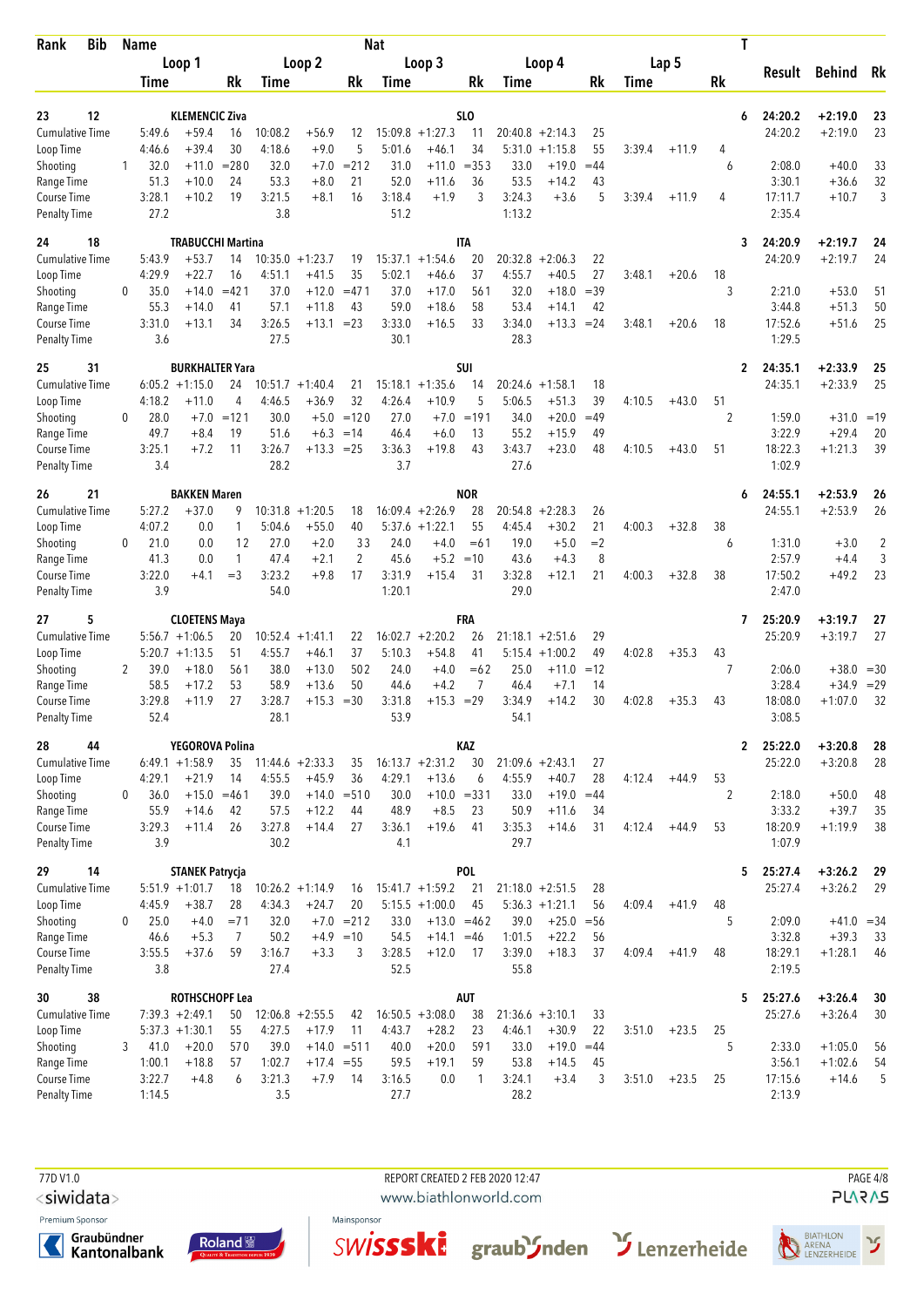| <b>Bib</b><br>Rank                  |   | <b>Name</b>    |                                           |              |                |                               |                | <b>Nat</b>        |                                         |                 |                   |                                        |             |        |         | Τ       |                    |                        |                |
|-------------------------------------|---|----------------|-------------------------------------------|--------------|----------------|-------------------------------|----------------|-------------------|-----------------------------------------|-----------------|-------------------|----------------------------------------|-------------|--------|---------|---------|--------------------|------------------------|----------------|
|                                     |   |                | Loop 1                                    |              |                | Loop 2                        |                |                   | Loop 3                                  |                 |                   | Loop 4                                 |             |        | Lap 5   |         | Result             | Behind                 | Rk             |
|                                     |   | Time           |                                           | Rk           | Time           |                               | Rk             | Time              |                                         | Rk              | Time              |                                        | Rk          | Time   |         | Rk      |                    |                        |                |
| 12<br>23                            |   |                | <b>KLEMENCIC Ziva</b>                     |              |                |                               |                |                   |                                         | SL <sub>0</sub> |                   |                                        |             |        |         | 6       | 24:20.2            | +2:19.0                | 23             |
| <b>Cumulative Time</b>              |   | 5:49.6         | $+59.4$                                   | 16           | 10:08.2        | $+56.9$                       | 12             | 15:09.8           | $+1:27.3$                               | 11              |                   | $20:40.8 + 2:14.3$                     | 25          |        |         |         | 24:20.2            | $+2:19.0$              | 23             |
| Loop Time                           |   | 4:46.6         | $+39.4$                                   | 30           | 4:18.6         | $+9.0$                        | 5              | 5:01.6            | $+46.1$                                 | 34              | 5:31.0            | $+1:15.8$                              | 55          | 3:39.4 | $+11.9$ | 4       |                    |                        |                |
| Shooting                            | 1 | 32.0           | $+11.0$                                   | $= 280$      | 32.0           | $+7.0$                        | $= 212$        | 31.0              | $+11.0$                                 | $= 353$         | 33.0              | $+19.0$                                | $=44$       |        |         | 6       | 2:08.0             | $+40.0$                | 33             |
| Range Time                          |   | 51.3<br>3:28.1 | $+10.0$<br>$+10.2$                        | 24<br>19     | 53.3<br>3:21.5 | $+8.0$                        | 21<br>16       | 52.0<br>3:18.4    | $+11.6$<br>$+1.9$                       | 36<br>3         | 53.5<br>3:24.3    | $+14.2$<br>$+3.6$                      | 43<br>5     | 3:39.4 |         | 4       | 3:30.1<br>17:11.7  | $+36.6$<br>$+10.7$     | 32<br>3        |
| Course Time<br><b>Penalty Time</b>  |   | 27.2           |                                           |              | 3.8            | $+8.1$                        |                | 51.2              |                                         |                 | 1:13.2            |                                        |             |        | $+11.9$ |         | 2:35.4             |                        |                |
| 24<br>18                            |   |                | <b>TRABUCCHI Martina</b>                  |              |                |                               |                |                   |                                         | <b>ITA</b>      |                   |                                        |             |        |         | 3       | 24:20.9            | +2:19.7                | 24             |
| <b>Cumulative Time</b>              |   | 5:43.9         | $+53.7$                                   | 14           | 10:35.0        | $+1:23.7$                     | 19             | 15:37.1           | $+1:54.6$                               | 20              | 20:32.8           | $+2:06.3$                              | 22          |        |         |         | 24:20.9            | $+2:19.7$              | 24             |
| Loop Time                           |   | 4:29.9         | $+22.7$                                   | 16           | 4:51.1         | $+41.5$                       | 35             | 5:02.1            | $+46.6$                                 | 37              | 4:55.7            | $+40.5$                                | 27          | 3:48.1 | $+20.6$ | 18      |                    |                        |                |
| Shooting<br>Range Time              | 0 | 35.0<br>55.3   | $+14.0$<br>$+14.0$                        | $=421$<br>41 | 37.0<br>57.1   | $+12.0$<br>$+11.8$            | $=471$<br>43   | 37.0<br>59.0      | $+17.0$<br>$+18.6$                      | 561<br>58       | 32.0<br>53.4      | $+18.0$<br>$+14.1$                     | $=39$<br>42 |        |         | 3       | 2:21.0<br>3:44.8   | $+53.0$<br>$+51.3$     | 51<br>50       |
| Course Time                         |   | 3:31.0         | $+13.1$                                   | 34           | 3:26.5         | +13.1                         | $= 23$         | 3:33.0            | $+16.5$                                 | 33              | 3:34.0            | $+13.3$                                | $= 24$      | 3:48.1 | $+20.6$ | 18      | 17:52.6            | $+51.6$                | 25             |
| <b>Penalty Time</b>                 |   | 3.6            |                                           |              | 27.5           |                               |                | 30.1              |                                         |                 | 28.3              |                                        |             |        |         |         | 1:29.5             |                        |                |
| 31<br>25                            |   |                | <b>BURKHALTER Yara</b>                    |              |                |                               |                |                   |                                         | <b>SUI</b>      |                   |                                        |             |        |         | 2       | 24:35.1            | +2:33.9                | 25             |
| <b>Cumulative Time</b>              |   | 4:18.2         | $6:05.2 +1:15.0$                          | 24<br>4      | 10:51.7        | $+1:40.4$<br>$+36.9$          | 21<br>32       | 15:18.1<br>4:26.4 | $+1:35.6$<br>$+10.9$                    | 14<br>5         | 20:24.6<br>5:06.5 | $+1:58.1$<br>$+51.3$                   | 18<br>39    |        | $+43.0$ | 51      | 24:35.1            | $+2:33.9$              | 25             |
| Loop Time<br>Shooting               | 0 | 28.0           | $+11.0$<br>$+7.0$                         | $=121$       | 4:46.5<br>30.0 | $+5.0$                        | $=120$         | 27.0              | $+7.0$                                  | $=191$          | 34.0              | $+20.0$                                | $=49$       | 4:10.5 |         | 2       | 1:59.0             | $+31.0 = 19$           |                |
| Range Time                          |   | 49.7           | $+8.4$                                    | 19           | 51.6           | $+6.3$                        | $=14$          | 46.4              | $+6.0$                                  | 13              | 55.2              | $+15.9$                                | 49          |        |         |         | 3:22.9             | $+29.4$                | 20             |
| Course Time                         |   | 3:25.1         | $+7.2$                                    | 11           | 3:26.7         | $+13.3 = 25$                  |                | 3:36.3            | $+19.8$                                 | 43              | 3:43.7            | $+23.0$                                | 48          | 4:10.5 | $+43.0$ | 51      | 18:22.3            | $+1:21.3$              | 39             |
| Penalty Time                        |   | 3.4            |                                           |              | 28.2           |                               |                | 3.7               |                                         |                 | 27.6              |                                        |             |        |         |         | 1:02.9             |                        |                |
| 26<br>21                            |   |                | <b>BAKKEN Maren</b>                       |              |                |                               |                |                   |                                         | <b>NOR</b>      |                   |                                        |             |        |         | 6       | 24:55.1            | +2:53.9                | 26             |
| <b>Cumulative Time</b>              |   | 5:27.2         | $+37.0$                                   | 9            |                | $10:31.8 + 1:20.5$            | 18             |                   | $16:09.4 + 2:26.9$                      | 28              | 20:54.8           | $+2:28.3$                              | 26          |        |         |         | 24:55.1            | $+2:53.9$              | 26             |
| Loop Time<br>Shooting               | 0 | 4:07.2<br>21.0 | 0.0<br>0.0                                | 1<br>12      | 5:04.6<br>27.0 | $+55.0$<br>$+2.0$             | 40<br>33       | 5:37.6<br>24.0    | $+1:22.1$<br>$+4.0$                     | 55<br>$=61$     | 4:45.4<br>19.0    | $+30.2$<br>$+5.0$                      | 21<br>$=2$  | 4:00.3 | $+32.8$ | 38<br>6 | 1:31.0             | $+3.0$                 | $\overline{c}$ |
| Range Time                          |   | 41.3           | 0.0                                       | 1            | 47.4           | $+2.1$                        | $\overline{2}$ | 45.6              | $+5.2$                                  | $=10$           | 43.6              | $+4.3$                                 | 8           |        |         |         | 2:57.9             | $+4.4$                 | 3              |
| Course Time                         |   | 3:22.0         | $+4.1$                                    | $=$ 3        | 3:23.2         | $+9.8$                        | 17             | 3:31.9            | $+15.4$                                 | 31              | 3:32.8            | $+12.1$                                | 21          | 4:00.3 | $+32.8$ | 38      | 17:50.2            | $+49.2$                | 23             |
| Penalty Time                        |   | 3.9            |                                           |              | 54.0           |                               |                | 1:20.1            |                                         |                 | 29.0              |                                        |             |        |         |         | 2:47.0             |                        |                |
| 5<br>27                             |   |                | <b>CLOETENS Maya</b>                      |              |                |                               |                |                   |                                         | FRA             |                   |                                        |             |        |         | 7       | 25:20.9            | +3:19.7                | 27             |
| <b>Cumulative Time</b><br>Loop Time |   |                | $5:56.7 +1:06.5$<br>$5:20.7 +1:13.5$      | 20<br>51     | 4:55.7         | $10:52.4 + 1:41.1$<br>$+46.1$ | 22<br>37       | 5:10.3            | $16:02.7 + 2:20.2$<br>$+54.8$           | 26<br>41        | 21:18.1           | $+2:51.6$<br>$5:15.4 + 1:00.2$         | 29<br>49    | 4:02.8 | $+35.3$ | 43      | 25:20.9            | $+3:19.7$              | 27             |
| Shooting                            | 2 | 39.0           | $+18.0$                                   | 561          | 38.0           | $+13.0$                       | 502            | 24.0              | $+4.0$                                  | $=62$           | 25.0              | $+11.0$                                | $=12$       |        |         | 7       | 2:06.0             | $+38.0$                | $=30$          |
| Range Time                          |   | 58.5           | $+17.2$                                   | 53           | 58.9           | $+13.6$                       | 50             | 44.6              | $+4.2$                                  | 7               | 46.4              | $+7.1$                                 | 14          |        |         |         | 3:28.4             | $+34.9$                | $=29$          |
| Course Time                         |   | 3:29.8         | $+11.9$                                   | 27           | 3:28.7         | $+15.3$                       | $= 30$         | 3:31.8            | $+15.3$                                 | $=29$           | 3:34.9            | $+14.2$                                | 30          | 4:02.8 | $+35.3$ | 43      | 18:08.0            | $+1:07.0$              | 32             |
| <b>Penalty Time</b>                 |   | 52.4           |                                           |              | 28.1           |                               |                | 53.9              |                                         |                 | 54.1              |                                        |             |        |         |         | 3:08.5             |                        |                |
| 28<br>44                            |   |                | YEGOROVA Polina                           |              |                |                               |                |                   |                                         | KAZ             |                   |                                        |             |        |         |         | 2 25:22.0          | $+3:20.8$              | 28             |
| <b>Cumulative Time</b><br>Loop Time |   | 4:29.1         | $6:49.1 + 1:58.9$<br>$+21.9$              | 35<br>14     | 4:55.5         | $11:44.6 + 2:33.3$<br>$+45.9$ | 35<br>36       | 4:29.1            | $16:13.7 + 2:31.2$<br>$+13.6$           | 30<br>6         | 4:55.9            | $21:09.6 + 2:43.1$<br>$+40.7$          | 27<br>28    | 4:12.4 | $+44.9$ | 53      | 25:22.0            | $+3:20.8$              | 28             |
| Shooting                            | 0 | 36.0           | $+15.0$                                   | $=461$       | 39.0           |                               | $+14.0 = 510$  | 30.0              | $+10.0 = 331$                           |                 | 33.0              | $+19.0$                                | $=44$       |        |         | 2       | 2:18.0             | $+50.0$                | 48             |
| Range Time                          |   | 55.9           | $+14.6$                                   | 42           | 57.5           | $+12.2$                       | 44             | 48.9              | $+8.5$                                  | 23              | 50.9              | $+11.6$                                | 34          |        |         |         | 3:33.2             | $+39.7$                | 35             |
| Course Time                         |   | 3:29.3         | $+11.4$                                   | 26           | 3:27.8         | $+14.4$                       | 27             | 3:36.1            | $+19.6$                                 | 41              | 3:35.3            | $+14.6$                                | 31          | 4:12.4 | $+44.9$ | 53      | 18:20.9            | $+1:19.9$              | 38             |
| <b>Penalty Time</b>                 |   | 3.9            |                                           |              | 30.2           |                               |                | 4.1               |                                         |                 | 29.7              |                                        |             |        |         |         | 1:07.9             |                        |                |
| 29<br>14                            |   |                | <b>STANEK Patrycja</b>                    |              |                |                               |                |                   |                                         | <b>POL</b>      |                   |                                        |             |        |         | 5       | 25:27.4            | $+3:26.2$              | 29             |
| <b>Cumulative Time</b><br>Loop Time |   | 4:45.9         | $5:51.9 +1:01.7$<br>$+38.7$               | 18<br>28     | 4:34.3         | $10:26.2 + 1:14.9$<br>$+24.7$ | 16<br>20       |                   | $15:41.7 + 1:59.2$<br>$5:15.5 + 1:00.0$ | 21<br>45        |                   | $21:18.0 + 2:51.5$<br>$5:36.3 +1:21.1$ | 28<br>56    | 4:09.4 | $+41.9$ | 48      | 25:27.4            | $+3:26.2$              | 29             |
| Shooting                            | 0 | 25.0           | $+4.0$                                    | $= 71$       | 32.0           | $+7.0$                        | $= 212$        | 33.0              | $+13.0 = 462$                           |                 | 39.0              | $+25.0$                                | $=$ 56      |        |         | 5       | 2:09.0             | $+41.0 = 34$           |                |
| Range Time                          |   | 46.6           | $+5.3$                                    | 7            | 50.2           | $+4.9$                        | $=10$          | 54.5              | $+14.1 = 46$                            |                 | 1:01.5            | $+22.2$                                | 56          |        |         |         | 3:32.8             | $+39.3$                | 33             |
| Course Time                         |   | 3:55.5         | $+37.6$                                   | 59           | 3:16.7         | $+3.3$                        | 3              | 3:28.5            | $+12.0$                                 | 17              | 3:39.0            | $+18.3$                                | 37          | 4:09.4 | $+41.9$ | 48      | 18:29.1            | $+1:28.1$              | 46             |
| <b>Penalty Time</b>                 |   | 3.8            |                                           |              | 27.4           |                               |                | 52.5              |                                         |                 | 55.8              |                                        |             |        |         |         | 2:19.5             |                        |                |
| 38<br>30<br><b>Cumulative Time</b>  |   |                | <b>ROTHSCHOPF Lea</b><br>$7:39.3 +2:49.1$ |              |                |                               |                |                   | $16:50.5 + 3:08.0$                      | <b>AUT</b>      |                   | $21:36.6 + 3:10.1$                     | 33          |        |         | 5       | 25:27.6<br>25:27.6 | $+3:26.4$<br>$+3:26.4$ | 30             |
| Loop Time                           |   |                | $5:37.3 +1:30.1$                          | 50<br>55     | 4:27.5         | $12:06.8 + 2:55.5$<br>$+17.9$ | 42<br>11       | 4:43.7            | $+28.2$                                 | 38<br>23        | 4:46.1            | $+30.9$                                | 22          | 3:51.0 | $+23.5$ | 25      |                    |                        | 30             |
| Shooting                            | 3 | 41.0           | $+20.0$                                   | 570          | 39.0           |                               | $+14.0 = 511$  | 40.0              | $+20.0$                                 | 591             | 33.0              | $+19.0$                                | $=44$       |        |         | 5       | 2:33.0             | $+1:05.0$              | 56             |
| Range Time                          |   | 1:00.1         | $+18.8$                                   | 57           | 1:02.7         | $+17.4 = 55$                  |                | 59.5              | $+19.1$                                 | 59              | 53.8              | $+14.5$                                | 45          |        |         |         | 3:56.1             | $+1:02.6$              | 54             |
| Course Time                         |   | 3:22.7         | $+4.8$                                    | 6            | 3:21.3         | $+7.9$                        | 14             | 3:16.5            | 0.0                                     | 1               | 3:24.1            | $+3.4$                                 | 3           | 3:51.0 | $+23.5$ | 25      | 17:15.6            | $+14.6$                | 5              |
| <b>Penalty Time</b>                 |   | 1:14.5         |                                           |              | 3.5            |                               |                | 27.7              |                                         |                 | 28.2              |                                        |             |        |         |         | 2:13.9             |                        |                |

<siwidata>

Premium Sponsor





REPORT CREATED 2 FEB 2020 12:47 www.biathlonworld.com

Mainsponsor

Swissski

PAGE 4/8 **PLARAS** 



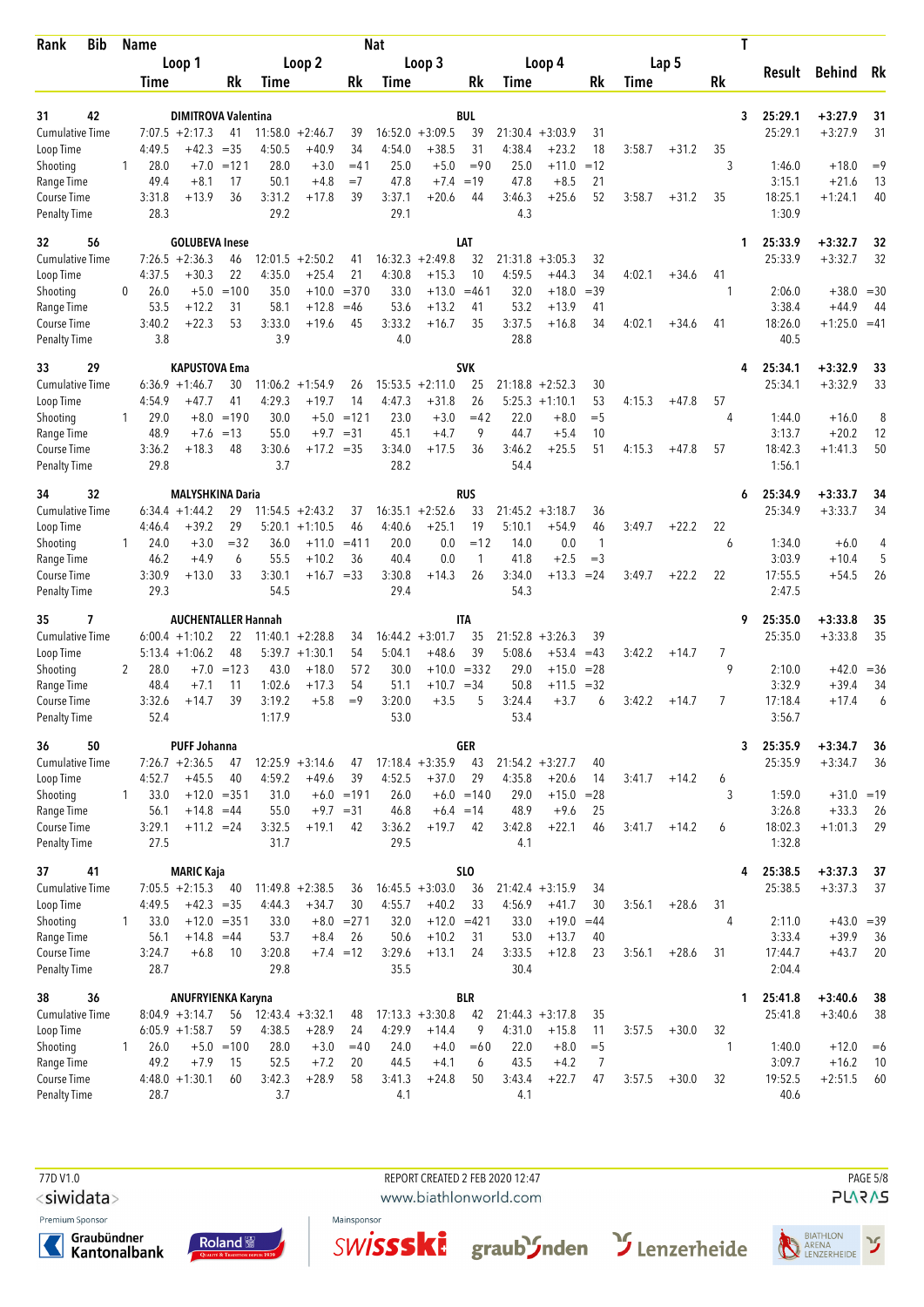| <b>Bib</b><br>Rank                 |              | Name           |                                          |                    |                |                             |                    | <b>Nat</b>     |                          |                     |                |                    |                 |             |         | Τ                  |                    |                         |          |
|------------------------------------|--------------|----------------|------------------------------------------|--------------------|----------------|-----------------------------|--------------------|----------------|--------------------------|---------------------|----------------|--------------------|-----------------|-------------|---------|--------------------|--------------------|-------------------------|----------|
|                                    |              |                | Loop 1                                   |                    |                | Loop 2                      |                    |                | Loop 3                   |                     |                | Loop 4             |                 |             | Lap 5   |                    | Result             | <b>Behind</b>           | Rk       |
|                                    |              | <b>Time</b>    |                                          | Rk                 | <b>Time</b>    |                             | Rk                 | <b>Time</b>    |                          | Rk                  | Time           |                    | Rk              | <b>Time</b> |         | Rk                 |                    |                         |          |
| 42<br>31                           |              |                | <b>DIMITROVA Valentina</b>               |                    |                |                             |                    |                |                          | <b>BUL</b>          |                |                    |                 |             |         | 3                  | 25:29.1            | +3:27.9                 | 31       |
| <b>Cumulative Time</b>             |              |                | $7:07.5 +2:17.3$                         | 41                 | 11:58.0        | $+2:46.7$                   | 39                 | 16:52.0        | $+3:09.5$                | 39                  |                | $21:30.4 +3:03.9$  | 31              |             |         |                    | 25:29.1            | $+3:27.9$               | 31       |
| Loop Time                          |              | 4:49.5         | $+42.3$                                  | $=35$              | 4:50.5         | $+40.9$                     | 34                 | 4:54.0         | $+38.5$                  | 31                  | 4:38.4         | $+23.2$            | 18              | 3:58.7      | $+31.2$ | 35                 |                    |                         |          |
| Shooting                           | 1            | 28.0           | $+7.0$                                   | $=121$             | 28.0           | $+3.0$                      | $= 41$             | 25.0           | $+5.0$                   | $= 90$              | 25.0           | $+11.0$            | $=12$           |             |         | 3                  | 1:46.0             | $+18.0$                 | $=9$     |
| Range Time<br>Course Time          |              | 49.4<br>3:31.8 | $+8.1$<br>$+13.9$                        | 17<br>36           | 50.1<br>3:31.2 | $+4.8$<br>$+17.8$           | $=7$<br>39         | 47.8<br>3:37.1 | $+7.4$<br>$+20.6$        | $=19$<br>44         | 47.8<br>3:46.3 | $+8.5$<br>$+25.6$  | 21<br>52        | 3:58.7      | $+31.2$ | 35                 | 3:15.1<br>18:25.1  | $+21.6$<br>$+1:24.1$    | 13<br>40 |
| <b>Penalty Time</b>                |              | 28.3           |                                          |                    | 29.2           |                             |                    | 29.1           |                          |                     | 4.3            |                    |                 |             |         |                    | 1:30.9             |                         |          |
| 32<br>56                           |              |                | <b>GOLUBEVA Inese</b>                    |                    |                |                             |                    |                |                          | LAT                 |                |                    |                 |             |         | 1                  | 25:33.9            | +3:32.7                 | 32       |
| Cumulative Time                    |              |                | $7:26.5 +2:36.3$                         | 46                 | 12:01.5        | $+2:50.2$                   | 41                 | 16:32.3        | $+2:49.8$                | 32                  | 21:31.8        | $+3:05.3$          | 32              |             |         |                    | 25:33.9            | $+3:32.7$               | 32       |
| Loop Time<br>Shooting              | 0            | 4:37.5<br>26.0 | $+30.3$<br>$+5.0$                        | 22<br>$=100$       | 4:35.0<br>35.0 | $+25.4$<br>$+10.0$          | 21<br>$= 370$      | 4:30.8<br>33.0 | $+15.3$<br>$+13.0$       | 10<br>$= 461$       | 4:59.5<br>32.0 | $+44.3$<br>$+18.0$ | 34<br>$=39$     | 4:02.1      | $+34.6$ | 41<br>-1           | 2:06.0             | $+38.0$                 | $= 30$   |
| Range Time                         |              | 53.5           | $+12.2$                                  | 31                 | 58.1           | $+12.8$                     | $=46$              | 53.6           | $+13.2$                  | 41                  | 53.2           | $+13.9$            | 41              |             |         |                    | 3:38.4             | $+44.9$                 | 44       |
| Course Time                        |              | 3:40.2         | $+22.3$                                  | 53                 | 3:33.0         | $+19.6$                     | 45                 | 3:33.2         | $+16.7$                  | 35                  | 3:37.5         | $+16.8$            | 34              | 4:02.1      | $+34.6$ | 41                 | 18:26.0            | $+1:25.0$               | $=41$    |
| <b>Penalty Time</b>                |              | 3.8            |                                          |                    | 3.9            |                             |                    | 4.0            |                          |                     | 28.8           |                    |                 |             |         |                    | 40.5               |                         |          |
| 29<br>33<br><b>Cumulative Time</b> |              |                | <b>KAPUSTOVA Ema</b><br>$6:36.9 +1:46.7$ | 30                 | 11:06.2        | $+1:54.9$                   | 26                 | 15:53.5        | $+2:11.0$                | <b>SVK</b><br>25    | 21:18.8        | $+2:52.3$          | 30              |             |         | 4                  | 25:34.1<br>25:34.1 | +3:32.9<br>$+3:32.9$    | 33<br>33 |
| Loop Time                          |              | 4:54.9         | +47.7                                    | 41                 | 4:29.3         | $+19.7$                     | 14                 | 4:47.3         | $+31.8$                  | 26                  |                | $5:25.3 +1:10.1$   | 53              | 4:15.3      | $+47.8$ | 57                 |                    |                         |          |
| Shooting                           | 1            | 29.0           | $+8.0$                                   | $=190$             | 30.0           | $+5.0$                      | $=121$             | 23.0           | $+3.0$                   | $=42$               | 22.0           | $+8.0$             | $=$ 5           |             |         | 4                  | 1:44.0             | $+16.0$                 | 8        |
| Range Time                         |              | 48.9           | $+7.6$                                   | $=13$              | 55.0           | $+9.7$                      | $= 31$             | 45.1           | $+4.7$                   | 9                   | 44.7           | $+5.4$             | 10              |             |         |                    | 3:13.7             | $+20.2$                 | 12       |
| Course Time<br><b>Penalty Time</b> |              | 3:36.2<br>29.8 | $+18.3$                                  | 48                 | 3:30.6<br>3.7  | $+17.2 = 35$                |                    | 3:34.0<br>28.2 | $+17.5$                  | 36                  | 3:46.2<br>54.4 | $+25.5$            | 51              | 4:15.3      | $+47.8$ | 57                 | 18:42.3<br>1:56.1  | $+1:41.3$               | 50       |
| 34<br>32                           |              |                | <b>MALYSHKINA Daria</b>                  |                    |                |                             |                    |                |                          | <b>RUS</b>          |                |                    |                 |             |         | 6                  | 25:34.9            | $+3:33.7$               | 34       |
| Cumulative Time                    |              |                | $6:34.4 +1:44.2$                         | 29                 |                | $11:54.5 + 2:43.2$          | 37                 |                | $16:35.1 + 2:52.6$       | 33                  |                | $21:45.2 + 3:18.7$ | 36              |             |         |                    | 25:34.9            | $+3:33.7$               | 34       |
| Loop Time                          |              | 4:46.4         | $+39.2$                                  | 29                 |                | $5:20.1 + 1:10.5$           | 46                 | 4:40.6         | $+25.1$                  | 19                  | 5:10.1         | +54.9              | 46              | 3:49.7      | $+22.2$ | 22                 |                    |                         |          |
| Shooting                           | 1            | 24.0           | $+3.0$                                   | $= 32$             | 36.0           | $+11.0$                     | $= 411$            | 20.0           | 0.0                      | $=12$               | 14.0           | 0.0                | $\mathbf{1}$    |             |         | 6                  | 1:34.0             | $+6.0$                  | 4        |
| Range Time<br>Course Time          |              | 46.2<br>3:30.9 | $+4.9$<br>$+13.0$                        | 6<br>33            | 55.5<br>3:30.1 | $+10.2$<br>$+16.7 = 33$     | 36                 | 40.4<br>3:30.8 | 0.0<br>$+14.3$           | 1<br>26             | 41.8<br>3:34.0 | $+2.5$<br>$+13.3$  | $=$ 3<br>$= 24$ | 3:49.7      | $+22.2$ | 22                 | 3:03.9<br>17:55.5  | $+10.4$<br>$+54.5$      | 5<br>26  |
| <b>Penalty Time</b>                |              | 29.3           |                                          |                    | 54.5           |                             |                    | 29.4           |                          |                     | 54.3           |                    |                 |             |         |                    | 2:47.5             |                         |          |
| 35<br>7                            |              |                | <b>AUCHENTALLER Hannah</b>               |                    |                |                             |                    |                |                          | <b>ITA</b>          |                |                    |                 |             |         | 9                  | 25:35.0            | $+3:33.8$               | 35       |
| Cumulative Time                    |              |                | $6:00.4 +1:10.2$                         | 22                 |                | $11:40.1 + 2:28.8$          | 34                 |                | $16:44.2 + 3:01.7$       | 35                  | 21:52.8        | $+3:26.3$          | 39              |             |         |                    | 25:35.0            | $+3:33.8$               | 35       |
| Loop Time<br>Shooting              | 2            | 28.0           | $5:13.4 +1:06.2$<br>$+7.0$               | 48<br>$=123$       | 43.0           | $5:39.7 +1:30.1$<br>$+18.0$ | 54<br>572          | 5:04.1<br>30.0 | $+48.6$                  | 39<br>$+10.0 = 332$ | 5:08.6<br>29.0 | $+53.4$<br>$+15.0$ | $=43$<br>$= 28$ | 3:42.2      | $+14.7$ | 7<br>9             | 2:10.0             | $+42.0 = 36$            |          |
| Range Time                         |              | 48.4           | $+7.1$                                   | 11                 | 1:02.6         | $+17.3$                     | 54                 | 51.1           | $+10.7 = 34$             |                     | 50.8           | $+11.5$            | $=32$           |             |         |                    | 3:32.9             | $+39.4$                 | 34       |
| Course Time                        |              | 3:32.6         | $+14.7$                                  | 39                 | 3:19.2         | $+5.8$                      | $=9$               | 3:20.0         | $+3.5$                   | 5                   | 3:24.4         | $+3.7$             | 6               | 3:42.2      | $+14.7$ | 7                  | 17:18.4            | $+17.4$                 | 6        |
| <b>Penalty Time</b>                |              | 52.4           |                                          |                    | 1:17.9         |                             |                    | 53.0           |                          |                     | 53.4           |                    |                 |             |         |                    | 3:56.7             |                         |          |
| 36<br>50<br>Cumulative Time        |              |                | <b>PUFF Johanna</b><br>$7:26.7 +2:36.5$  | 47                 |                | $12:25.9 + 3:14.6$          | 47                 |                | $17:18.4 + 3:35.9$       | GER<br>43           |                | $21:54.2 + 3:27.7$ | 40              |             |         | 3                  | 25:35.9<br>25:35.9 | $+3:34.7$<br>$+3:34.7$  | 36<br>36 |
| Loop Time                          |              | 4:52.7         | $+45.5$                                  | 40                 | 4:59.2         | $+49.6$                     | 39                 | 4:52.5         | $+37.0$                  | 29                  | 4:35.8         | $+20.6$            | 14              | 3:41.7      | $+14.2$ | 6                  |                    |                         |          |
| Shooting                           | $\mathbf{1}$ | 33.0           |                                          | $+12.0 = 351$      | 31.0           |                             | $+6.0 = 191$       | 26.0           |                          | $+6.0 = 140$        | 29.0           | $+15.0$            | $= 28$          |             |         | 3                  | 1:59.0             | $+31.0 = 19$            |          |
| Range Time                         |              | 56.1           | $+14.8 = 44$                             |                    | 55.0           | $+9.7 = 31$                 |                    | 46.8           | $+6.4 = 14$              |                     | 48.9           | $+9.6$             | 25              |             |         |                    | 3:26.8             | $+33.3$                 | 26       |
| Course Time<br><b>Penalty Time</b> |              | 3:29.1<br>27.5 | $+11.2 = 24$                             |                    | 3:32.5<br>31.7 | $+19.1$                     | 42                 | 3:36.2<br>29.5 | $+19.7$                  | 42                  | 3:42.8<br>4.1  | $+22.1$            | 46              | 3:41.7      | $+14.2$ | 6                  | 18:02.3<br>1:32.8  | $+1:01.3$               | 29       |
| 41<br>37                           |              |                | <b>MARIC Kaja</b>                        |                    |                |                             |                    |                |                          | <b>SLO</b>          |                |                    |                 |             |         | 4                  | 25:38.5            | $+3:37.3$               | 37       |
| <b>Cumulative Time</b>             |              |                | $7:05.5 +2:15.3$                         | 40                 |                | $11:49.8 + 2:38.5$          | 36                 |                | $16:45.5 + 3:03.0$       | 36                  |                | $21:42.4 + 3:15.9$ | 34              |             |         |                    | 25:38.5            | $+3:37.3$               | 37       |
| Loop Time                          |              | 4:49.5         | $+42.3 = 35$                             |                    | 4:44.3         | $+34.7$                     | 30                 | 4:55.7         | $+40.2$                  | 33                  | 4:56.9         | $+41.7$            | 30              | 3:56.1      | $+28.6$ | 31                 |                    |                         |          |
| Shooting<br>Range Time             | $\mathbf{1}$ | 33.0<br>56.1   | $+14.8 = 44$                             | $+12.0 = 351$      | 33.0<br>53.7   | $+8.4$                      | $+8.0 = 271$<br>26 | 32.0<br>50.6   | $+12.0 = 421$<br>$+10.2$ | 31                  | 33.0<br>53.0   | $+19.0$<br>$+13.7$ | $=44$<br>40     |             |         | 4                  | 2:11.0<br>3:33.4   | $+43.0 = 39$<br>$+39.9$ | 36       |
| Course Time                        |              | 3:24.7         | $+6.8$                                   | 10                 | 3:20.8         |                             | $+7.4 = 12$        | 3:29.6         | $+13.1$                  | 24                  | 3:33.5         | $+12.8$            | 23              | 3:56.1      | $+28.6$ | 31                 | 17:44.7            | $+43.7$                 | 20       |
| <b>Penalty Time</b>                |              | 28.7           |                                          |                    | 29.8           |                             |                    | 35.5           |                          |                     | 30.4           |                    |                 |             |         |                    | 2:04.4             |                         |          |
| 36<br>38                           |              |                | <b>ANUFRYIENKA Karyna</b>                |                    |                |                             |                    |                |                          | <b>BLR</b>          |                |                    |                 |             |         | 1                  | 25:41.8            | $+3:40.6$               | 38       |
| <b>Cumulative Time</b>             |              |                | $8:04.9 + 3:14.7$                        | 56                 |                | $12:43.4 + 3:32.1$          | 48                 |                | $17:13.3 + 3:30.8$       | 42                  |                | $21:44.3 + 3:17.8$ | 35              |             |         |                    | 25:41.8            | $+3:40.6$               | 38       |
| Loop Time<br>Shooting              | $\mathbf{1}$ | 26.0           | $6:05.9 +1:58.7$                         | 59<br>$+5.0 = 100$ | 4:38.5<br>28.0 | $+28.9$<br>$+3.0$           | 24<br>$=40$        | 4:29.9<br>24.0 | $+14.4$<br>$+4.0$        | 9<br>$=60$          | 4:31.0<br>22.0 | $+15.8$<br>$+8.0$  | 11<br>$=$ 5     | 3:57.5      | $+30.0$ | 32<br>$\mathbf{1}$ | 1:40.0             | $+12.0$                 | $=6$     |
| Range Time                         |              | 49.2           | $+7.9$                                   | 15                 | 52.5           | $+7.2$                      | 20                 | 44.5           | $+4.1$                   | 6                   | 43.5           | $+4.2$             | $\overline{7}$  |             |         |                    | 3:09.7             | $+16.2$                 | 10       |
| Course Time                        |              |                | $4:48.0 + 1:30.1$                        | 60                 | 3:42.3         | $+28.9$                     | 58                 | 3:41.3         | $+24.8$                  | 50                  | 3:43.4         | $+22.7$            | 47              | 3:57.5      | $+30.0$ | 32                 | 19:52.5            | $+2:51.5$               | 60       |
| <b>Penalty Time</b>                |              | 28.7           |                                          |                    | 3.7            |                             |                    | 4.1            |                          |                     | 4.1            |                    |                 |             |         |                    | 40.6               |                         |          |

<siwidata>

Premium Sponsor







REPORT CREATED 2 FEB 2020 12:47

www.biathlonworld.com





**PAGE 5/8**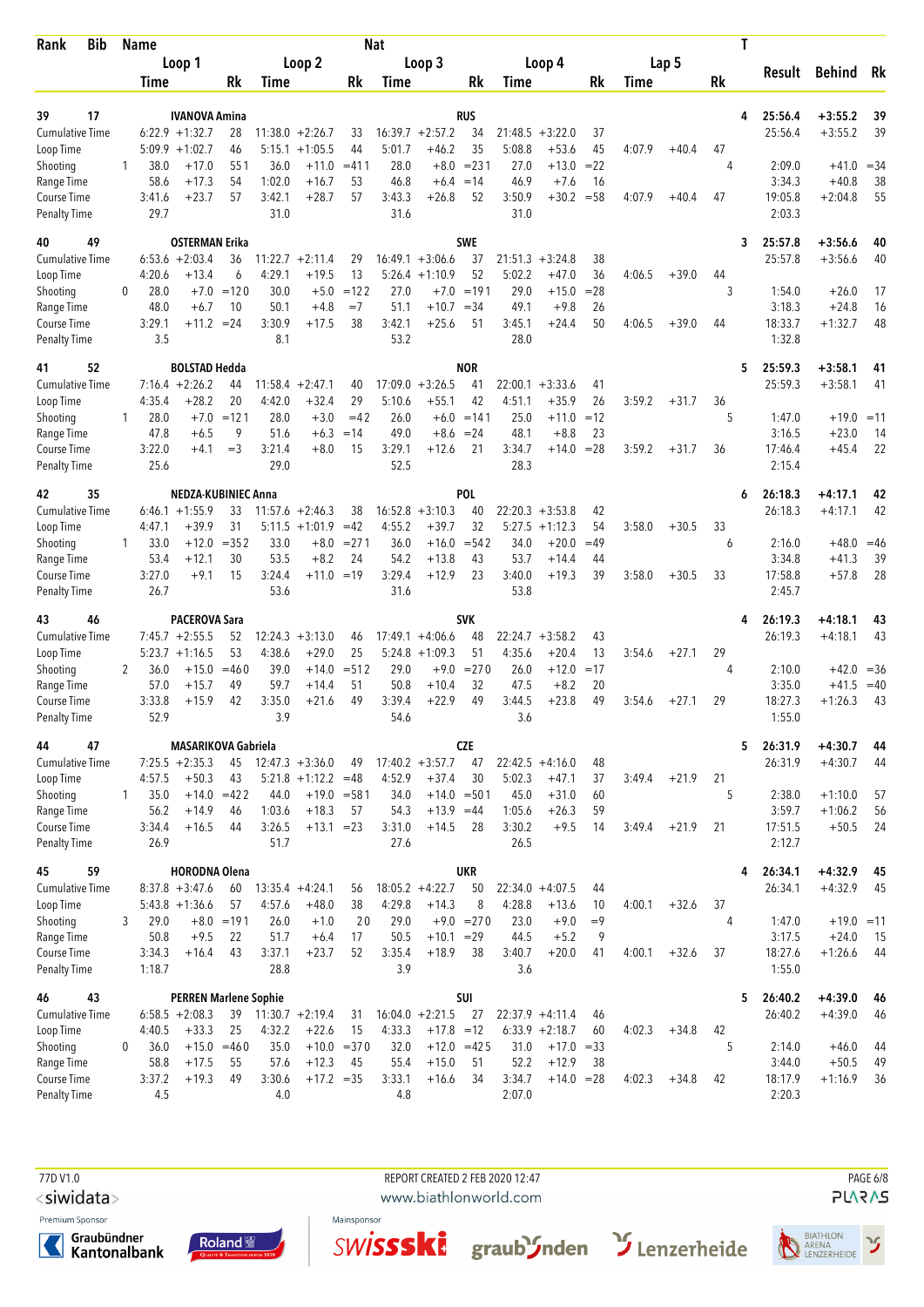| <b>Bib</b><br>Rank        |              | <b>Name</b>    |                              |                    |                  |                          |                     | <b>Nat</b>     |                          |                   |                |                         |              |        |         | Τ       |                   |                         |                |
|---------------------------|--------------|----------------|------------------------------|--------------------|------------------|--------------------------|---------------------|----------------|--------------------------|-------------------|----------------|-------------------------|--------------|--------|---------|---------|-------------------|-------------------------|----------------|
|                           |              |                | Loop 1                       |                    |                  | Loop 2                   |                     |                | Loop 3                   |                   |                | Loop 4                  |              |        | Lap 5   |         | Result            | Behind Rk               |                |
|                           |              | Time           |                              | Rk                 | Time             |                          | Rk                  | Time           |                          | Rk                | Time           |                         | Rk           | Time   |         | Rk      |                   |                         |                |
| 17<br>39                  |              |                | <b>IVANOVA Amina</b>         |                    |                  |                          |                     |                |                          | <b>RUS</b>        |                |                         |              |        |         | 4       | 25:56.4           | $+3:55.2$               | 39             |
| <b>Cumulative Time</b>    |              |                | $6:22.9$ +1:32.7             | 28                 |                  | $11:38.0 + 2:26.7$       | 33                  |                | $16:39.7 + 2:57.2$       | 34                |                | $21:48.5 + 3:22.0$      | 37           |        |         |         | 25:56.4           | $+3:55.2$               | 39             |
| Loop Time                 |              |                | $5:09.9 + 1:02.7$            | 46                 |                  | $5:15.1 + 1:05.5$        | 44                  | 5:01.7         | $+46.2$                  | 35                | 5:08.8         | $+53.6$                 | 45           | 4:07.9 | $+40.4$ | 47      |                   |                         |                |
| Shooting                  | $\mathbf{1}$ | 38.0           | $+17.0$                      | 551                | 36.0             | $+11.0$                  | $= 411$             | 28.0           | $+8.0$                   | $= 231$           | 27.0           | $+13.0$                 | $= 22$       |        |         | 4       | 2:09.0            | $+41.0 = 34$            |                |
| Range Time<br>Course Time |              | 58.6<br>3:41.6 | +17.3<br>$+23.7$             | 54<br>57           | 1:02.0<br>3:42.1 | $+16.7$<br>$+28.7$       | 53<br>57            | 46.8<br>3:43.3 | $+6.4$<br>$+26.8$        | $=14$<br>52       | 46.9<br>3:50.9 | $+7.6$<br>$+30.2$       | 16<br>$= 58$ | 4:07.9 | $+40.4$ | 47      | 3:34.3<br>19:05.8 | $+40.8$<br>$+2:04.8$    | 38<br>55       |
| <b>Penalty Time</b>       |              | 29.7           |                              |                    | 31.0             |                          |                     | 31.6           |                          |                   | 31.0           |                         |              |        |         |         | 2:03.3            |                         |                |
| 49<br>40                  |              |                | <b>OSTERMAN Erika</b>        |                    |                  |                          |                     |                |                          | <b>SWE</b>        |                |                         |              |        |         | 3       | 25:57.8           | $+3:56.6$               | 40             |
| <b>Cumulative Time</b>    |              |                | $6:53.6 + 2:03.4$            | 36                 |                  | $11:22.7 + 2:11.4$       | 29                  |                | $16:49.1 + 3:06.6$       | 37                |                | $21:51.3 + 3:24.8$      | 38           |        |         |         | 25:57.8           | $+3:56.6$               | 40             |
| Loop Time                 |              | 4:20.6         | +13.4                        | 6                  | 4:29.1           | $+19.5$                  | 13                  |                | $5:26.4$ +1:10.9         | 52                | 5:02.2         | $+47.0$                 | 36           | 4:06.5 | $+39.0$ | 44      |                   |                         |                |
| Shooting                  | 0            | 28.0           |                              | $+7.0 = 120$       | 30.0             | $+5.0$                   | $=122$              | 27.0           | $+7.0$                   | $=191$            | 29.0           | $+15.0$                 | $= 28$       |        |         | 3       | 1:54.0            | $+26.0$                 | 17             |
| Range Time<br>Course Time |              | 48.0<br>3:29.1 | $+6.7$<br>$+11.2 = 24$       | 10                 | 50.1<br>3:30.9   | $+4.8$<br>$+17.5$        | $=7$<br>38          | 51.1<br>3:42.1 | $+10.7 = 34$<br>$+25.6$  | 51                | 49.1<br>3:45.1 | $+9.8$<br>$+24.4$       | 26<br>50     | 4:06.5 | $+39.0$ | 44      | 3:18.3<br>18:33.7 | $+24.8$<br>$+1:32.7$    | 16<br>48       |
| <b>Penalty Time</b>       |              | 3.5            |                              |                    | 8.1              |                          |                     | 53.2           |                          |                   | 28.0           |                         |              |        |         |         | 1:32.8            |                         |                |
| 52<br>41                  |              |                | <b>BOLSTAD Hedda</b>         |                    |                  |                          |                     |                |                          | <b>NOR</b>        |                |                         |              |        |         | 5       | 25:59.3           | $+3:58.1$               | 41             |
| <b>Cumulative Time</b>    |              |                | $7:16.4 +2:26.2$             | 44                 | 11:58.4          | $+2:47.1$                | 40                  |                | $17:09.0 + 3:26.5$       | 41                | 22:00.1        | $+3:33.6$               | 41           |        |         |         | 25:59.3           | $+3:58.1$               | 41             |
| Loop Time                 |              | 4:35.4         | $+28.2$                      | 20                 | 4:42.0           | $+32.4$                  | 29                  | 5:10.6         | $+55.1$                  | 42                | 4:51.1         | $+35.9$                 | 26           | 3:59.2 | $+31.7$ | 36      |                   |                         |                |
| Shooting                  | 1            | 28.0<br>47.8   | $+7.0$<br>$+6.5$             | $=121$<br>9        | 28.0<br>51.6     | $+3.0$<br>$+6.3$         | $=42$<br>$=14$      | 26.0<br>49.0   | $+6.0$<br>$+8.6$         | $=141$<br>$= 24$  | 25.0<br>48.1   | $+11.0$<br>$+8.8$       | $=12$<br>23  |        |         | 5       | 1:47.0<br>3:16.5  | $+19.0 = 11$            | 14             |
| Range Time<br>Course Time |              | 3:22.0         | $+4.1$                       | $=$ 3              | 3:21.4           | $+8.0$                   | 15                  | 3:29.1         | $+12.6$                  | 21                | 3:34.7         | $+14.0$                 | $= 28$       | 3:59.2 | $+31.7$ | 36      | 17:46.4           | $+23.0$<br>$+45.4$      | 22             |
| <b>Penalty Time</b>       |              | 25.6           |                              |                    | 29.0             |                          |                     | 52.5           |                          |                   | 28.3           |                         |              |        |         |         | 2:15.4            |                         |                |
| 35<br>42                  |              |                | <b>NEDZA-KUBINIEC Anna</b>   |                    |                  |                          |                     |                |                          | <b>POL</b>        |                |                         |              |        |         | 6       | 26:18.3           | +4:17.1                 | 42             |
| <b>Cumulative Time</b>    |              |                | $6:46.1 + 1:55.9$            | 33                 |                  | $11:57.6 + 2:46.3$       | 38                  |                | $16:52.8 + 3:10.3$       | 40                |                | $22:20.3 + 3:53.8$      | 42           |        |         |         | 26:18.3           | $+4:17.1$               | 42             |
| Loop Time                 |              | 4:47.1         | $+39.9$                      | 31                 |                  | $5:11.5 +1:01.9$         | $=42$               | 4:55.2         | $+39.7$                  | 32                | 5:27.5         | $+1:12.3$               | 54           | 3:58.0 | $+30.5$ | 33      |                   |                         |                |
| Shooting<br>Range Time    | 1            | 33.0<br>53.4   | $+12.0$<br>$+12.1$           | $= 352$<br>30      | 33.0<br>53.5     | $+8.0$<br>$+8.2$         | $= 271$<br>24       | 36.0<br>54.2   | $+16.0$<br>$+13.8$       | $= 542$<br>43     | 34.0<br>53.7   | $+20.0$<br>$+14.4$      | $=49$<br>44  |        |         | 6       | 2:16.0<br>3:34.8  | $+48.0 = 46$<br>$+41.3$ | 39             |
| Course Time               |              | 3:27.0         | $+9.1$                       | 15                 | 3:24.4           | $+11.0 = 19$             |                     | 3:29.4         | $+12.9$                  | 23                | 3:40.0         | $+19.3$                 | 39           | 3:58.0 | $+30.5$ | 33      | 17:58.8           | $+57.8$                 | 28             |
| <b>Penalty Time</b>       |              | 26.7           |                              |                    | 53.6             |                          |                     | 31.6           |                          |                   | 53.8           |                         |              |        |         |         | 2:45.7            |                         |                |
| 46<br>43                  |              |                | <b>PACEROVA Sara</b>         |                    |                  |                          |                     |                |                          | <b>SVK</b>        |                |                         |              |        |         | 4       | 26:19.3           | $+4:18.1$               | 43             |
| <b>Cumulative Time</b>    |              |                | $7:45.7 +2:55.5$             | 52                 | 12:24.3          | $+3:13.0$                | 46                  |                | $17:49.1 + 4:06.6$       | 48                |                | $22:24.7 + 3:58.2$      | 43           |        |         |         | 26:19.3           | $+4:18.1$               | 43             |
| Loop Time                 |              |                | $5:23.7 +1:16.5$             | 53<br>$=460$       | 4:38.6<br>39.0   | $+29.0$                  | 25<br>$= 512$       | 29.0           | $5:24.8 +1:09.3$         | 51<br>$= 270$     | 4:35.6         | $+20.4$                 | 13<br>$=17$  | 3:54.6 | $+27.1$ | 29<br>4 |                   |                         |                |
| Shooting<br>Range Time    | 2            | 36.0<br>57.0   | $+15.0$<br>$+15.7$           | 49                 | 59.7             | $+14.0$<br>$+14.4$       | 51                  | 50.8           | $+9.0$<br>$+10.4$        | 32                | 26.0<br>47.5   | $+12.0$<br>$+8.2$       | 20           |        |         |         | 2:10.0<br>3:35.0  | $+42.0$<br>$+41.5$      | $=36$<br>$=40$ |
| Course Time               |              | 3:33.8         | $+15.9$                      | 42                 | 3:35.0           | $+21.6$                  | 49                  | 3:39.4         | $+22.9$                  | 49                | 3:44.5         | $+23.8$                 | 49           | 3:54.6 | $+27.1$ | 29      | 18:27.3           | $+1:26.3$               | 43             |
| <b>Penalty Time</b>       |              | 52.9           |                              |                    | 3.9              |                          |                     | 54.6           |                          |                   | 3.6            |                         |              |        |         |         | 1:55.0            |                         |                |
| 44<br>47                  |              |                | <b>MASARIKOVA Gabriela</b>   |                    |                  |                          |                     |                |                          | <b>CZE</b>        |                |                         |              |        |         | 5       | 26:31.9           | $+4:30.7$               | 44             |
| <b>Cumulative Time</b>    |              |                | $7:25.5 +2:35.3$             | 45                 |                  | $12:47.3 + 3:36.0$       | 49                  |                | $17:40.2 + 3:57.7$       | 47                |                | $22:42.5 +4:16.0$       | 48           |        |         |         | 26:31.9           | $+4:30.7$               | 44             |
| Loop Time                 | 1            | 4:57.5         | $+50.3$<br>$+14.0 = 422$     | 43                 | 44.0             | $5:21.8 +1:12.2 = 48$    |                     | 4:52.9<br>34.0 | $+37.4$<br>$+14.0 = 501$ | 30                | 5:02.3<br>45.0 | $+47.1$<br>$+31.0$      | 37           | 3:49.4 | $+21.9$ | 21<br>5 | 2:38.0            | $+1:10.0$               | 57             |
| Shooting<br>Range Time    |              | 35.0<br>56.2   | $+14.9$                      | 46                 | 1:03.6           | $+19.0 = 581$<br>$+18.3$ | 57                  | 54.3           | $+13.9 = 44$             |                   | 1:05.6         | $+26.3$                 | 60<br>59     |        |         |         | 3:59.7            | $+1:06.2$               | 56             |
| Course Time               |              | 3:34.4         | $+16.5$                      | 44                 | 3:26.5           | $+13.1 = 23$             |                     | 3:31.0         | $+14.5$                  | 28                | 3:30.2         | $+9.5$                  | 14           | 3:49.4 | $+21.9$ | 21      | 17:51.5           | $+50.5$                 | 24             |
| <b>Penalty Time</b>       |              | 26.9           |                              |                    | 51.7             |                          |                     | 27.6           |                          |                   | 26.5           |                         |              |        |         |         | 2:12.7            |                         |                |
| 59<br>45                  |              |                | <b>HORODNA Olena</b>         |                    |                  |                          |                     |                |                          | <b>UKR</b>        |                |                         |              |        |         | 4       | 26:34.1           | $+4:32.9$               | 45             |
| <b>Cumulative Time</b>    |              |                | $8:37.8 + 3:47.6$            | 60                 |                  | $13:35.4 +4:24.1$        | 56                  |                | $18:05.2 + 4:22.7$       | 50                |                | $22:34.0 +4:07.5$       | 44           |        |         |         | 26:34.1           | $+4:32.9$               | 45             |
| Loop Time                 |              |                | $5:43.8 +1:36.6$             | 57<br>$+8.0 = 191$ | 4:57.6           | $+48.0$                  | 38<br>20            | 4:29.8         | $+14.3$                  | 8<br>$+9.0 = 270$ | 4:28.8<br>23.0 | $+13.6$                 | 10           | 4:00.1 | $+32.6$ | 37      |                   |                         |                |
| Shooting<br>Range Time    | 3            | 29.0<br>50.8   | $+9.5$                       | 22                 | 26.0<br>51.7     | $+1.0$<br>$+6.4$         | 17                  | 29.0<br>50.5   | $+10.1 = 29$             |                   | 44.5           | $+9.0$<br>$+5.2$        | $=9$<br>9    |        |         | 4       | 1:47.0<br>3:17.5  | $+19.0 = 11$<br>$+24.0$ | 15             |
| Course Time               |              | 3:34.3         | $+16.4$                      | 43                 | 3:37.1           | $+23.7$                  | 52                  | 3:35.4         | $+18.9$                  | 38                | 3:40.7         | $+20.0$                 | 41           | 4:00.1 | $+32.6$ | 37      | 18:27.6           | $+1:26.6$               | 44             |
| <b>Penalty Time</b>       |              | 1:18.7         |                              |                    | 28.8             |                          |                     | 3.9            |                          |                   | 3.6            |                         |              |        |         |         | 1:55.0            |                         |                |
| 43<br>46                  |              |                | <b>PERREN Marlene Sophie</b> |                    |                  |                          |                     |                |                          | SUI               |                |                         |              |        |         | 5       | 26:40.2           | $+4:39.0$               | -46            |
| <b>Cumulative Time</b>    |              |                | $6:58.5 + 2:08.3$            | 39                 |                  | $11:30.7 +2:19.4$        | 31                  |                | $16:04.0 + 2:21.5$       | 27                |                | $22:37.9 +4:11.4$       | 46           |        |         |         | 26:40.2           | $+4:39.0$               | 46             |
| Loop Time                 |              | 4:40.5         | $+33.3$                      | 25                 | 4:32.2           | $+22.6$                  | 15                  | 4:33.3         | $+17.8 = 12$             |                   |                | $6:33.9 +2:18.7$        | 60           | 4:02.3 | $+34.8$ | 42<br>5 |                   |                         |                |
| Shooting<br>Range Time    | 0            | 36.0<br>58.8   | $+15.0$<br>$+17.5$           | $=460$<br>55       | 35.0<br>57.6     | $+12.3$                  | $+10.0 = 370$<br>45 | 32.0<br>55.4   | $+12.0 = 425$<br>$+15.0$ | 51                | 31.0<br>52.2   | $+17.0 = 33$<br>$+12.9$ | 38           |        |         |         | 2:14.0<br>3:44.0  | $+46.0$<br>$+50.5$      | 44<br>49       |
| Course Time               |              | 3:37.2         | $+19.3$                      | 49                 | 3:30.6           | $+17.2 = 35$             |                     | 3:33.1         | $+16.6$                  | 34                | 3:34.7         | $+14.0 = 28$            |              | 4:02.3 | $+34.8$ | 42      | 18:17.9           | $+1:16.9$               | 36             |
| <b>Penalty Time</b>       |              | 4.5            |                              |                    | 4.0              |                          |                     | 4.8            |                          |                   | 2:07.0         |                         |              |        |         |         | 2:20.3            |                         |                |

77D V1.0 REPORT CREATED 2 FEB 2020 12:47 PAGE 6/8

<siwidata>

Premium Sponsor







www.biathlonworld.com



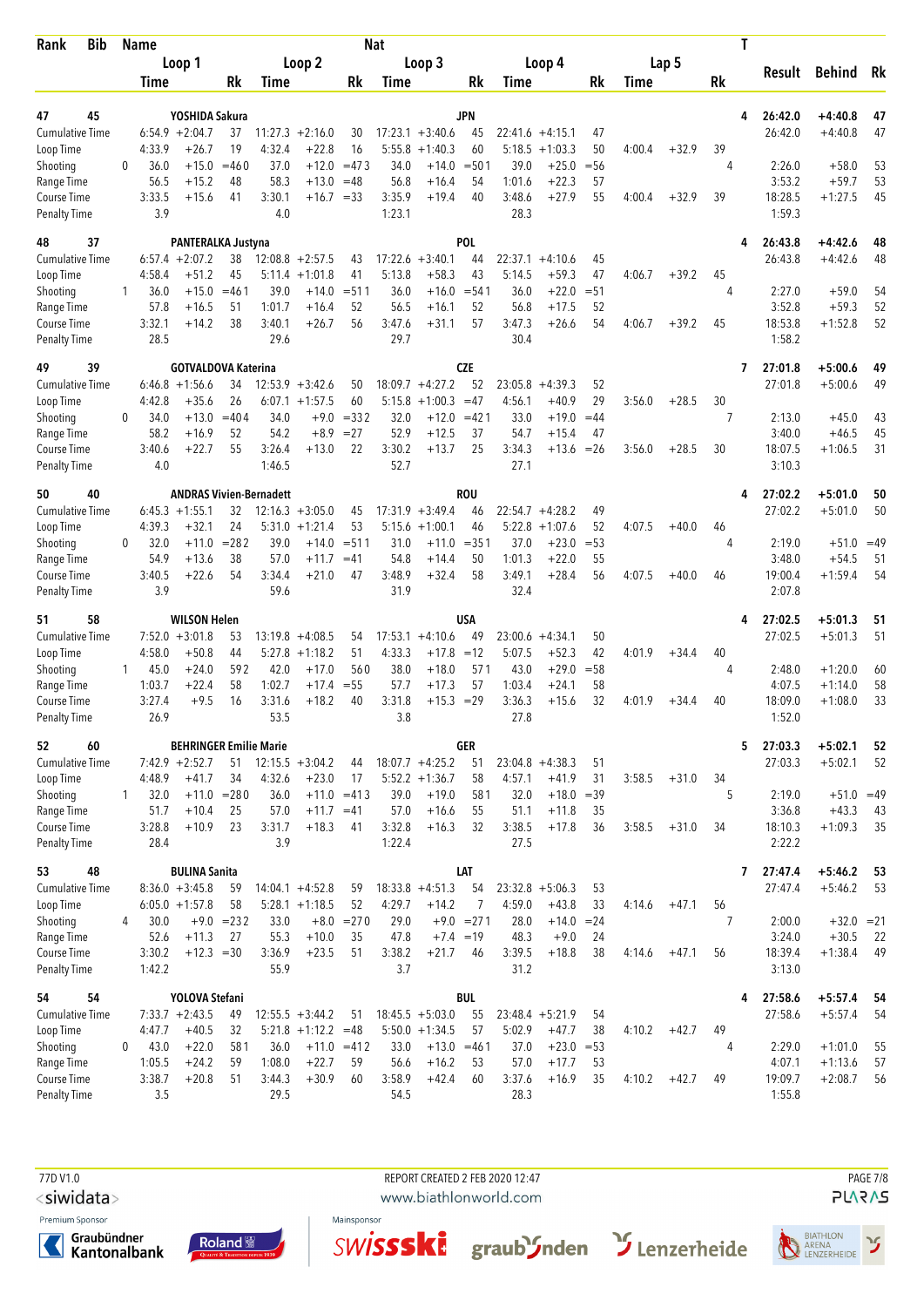| Bib<br>Rank                        |              | <b>Name</b>    |                                                   |                    |                  |                       |                  | <b>Nat</b>     |                    |                  |                |                    |              |             |         | Τ            |                    |                         |          |
|------------------------------------|--------------|----------------|---------------------------------------------------|--------------------|------------------|-----------------------|------------------|----------------|--------------------|------------------|----------------|--------------------|--------------|-------------|---------|--------------|--------------------|-------------------------|----------|
|                                    |              |                | Loop 1                                            |                    |                  | Loop 2                |                  |                | Loop 3             |                  |                | Loop 4             |              |             | Lap 5   |              | Result             | <b>Behind</b>           | Rk       |
|                                    |              | Time           |                                                   | Rk                 | Time             |                       | Rk               | Time           |                    | Rk               | Time           |                    | Rk           | <b>Time</b> |         | Rk           |                    |                         |          |
|                                    |              |                |                                                   |                    |                  |                       |                  |                |                    |                  |                |                    |              |             |         |              |                    |                         |          |
| 47<br>45<br><b>Cumulative Time</b> |              |                | YOSHIDA Sakura<br>$6:54.9 + 2:04.7$               | 37                 | 11:27.3          | $+2:16.0$             | 30               |                | $17:23.1 + 3:40.6$ | <b>JPN</b><br>45 | 22:41.6        | $+4:15.1$          | 47           |             |         | 4            | 26:42.0<br>26:42.0 | $+4:40.8$<br>$+4:40.8$  | 47<br>47 |
| Loop Time                          |              | 4:33.9         | $+26.7$                                           | 19                 | 4:32.4           | $+22.8$               | 16               | 5:55.8         | $+1:40.3$          | 60               | 5:18.5         | $+1:03.3$          | 50           | 4:00.4      | $+32.9$ | 39           |                    |                         |          |
| Shooting                           | $\Omega$     | 36.0           | $+15.0$                                           | $=460$             | 37.0             | $+12.0$               | $=473$           | 34.0           | $+14.0$            | $= 501$          | 39.0           | $+25.0$            | $= 56$       |             |         | 4            | 2:26.0             | $+58.0$                 | 53       |
| Range Time                         |              | 56.5           | $+15.2$                                           | 48                 | 58.3             | $+13.0$               | $=48$            | 56.8           | $+16.4$            | 54               | 1:01.6         | $+22.3$            | 57           |             |         |              | 3:53.2             | $+59.7$                 | 53       |
| Course Time                        |              | 3:33.5         | $+15.6$                                           | 41                 | 3:30.1           | $+16.7 = 33$          |                  | 3:35.9         | $+19.4$            | 40               | 3:48.6         | $+27.9$            | 55           | 4:00.4      | $+32.9$ | 39           | 18:28.5            | $+1:27.5$               | 45       |
| Penalty Time                       |              | 3.9            |                                                   |                    | 4.0              |                       |                  | 1:23.1         |                    |                  | 28.3           |                    |              |             |         |              | 1:59.3             |                         |          |
| 37<br>48                           |              |                | PANTERALKA Justyna                                |                    |                  |                       |                  |                |                    | POL              |                |                    |              |             |         | 4            | 26:43.8            | +4:42.6                 | 48       |
| Cumulative Time                    |              |                | $6:57.4 +2:07.2$                                  | 38                 |                  | $12:08.8 + 2:57.5$    | 43               | 17:22.6        | $+3:40.1$          | 44               | 22:37.1        | $+4:10.6$          | 45           |             |         |              | 26:43.8            | $+4:42.6$               | 48       |
| Loop Time                          |              | 4:58.4         | $+51.2$                                           | 45                 | 5:11.4           | $+1:01.8$             | 41               | 5:13.8         | $+58.3$            | 43               | 5:14.5         | $+59.3$            | 47           | 4:06.7      | $+39.2$ | 45           |                    |                         |          |
| Shooting                           | 1            | 36.0           | $+15.0$                                           | $= 461$            | 39.0             | $+14.0$               | $= 511$          | 36.0           | $+16.0$            | $= 541$          | 36.0           | $+22.0$            | $= 51$       |             |         | 4            | 2:27.0             | $+59.0$                 | 54       |
| Range Time<br>Course Time          |              | 57.8<br>3:32.1 | $+16.5$<br>$+14.2$                                | 51<br>38           | 1:01.7<br>3:40.1 | $+16.4$<br>$+26.7$    | 52<br>56         | 56.5<br>3:47.6 | $+16.1$<br>$+31.1$ | 52<br>57         | 56.8<br>3:47.3 | $+17.5$<br>$+26.6$ | 52<br>54     | 4:06.7      | $+39.2$ | 45           | 3:52.8<br>18:53.8  | $+59.3$<br>$+1:52.8$    | 52<br>52 |
| Penalty Time                       |              | 28.5           |                                                   |                    | 29.6             |                       |                  | 29.7           |                    |                  | 30.4           |                    |              |             |         |              | 1:58.2             |                         |          |
|                                    |              |                |                                                   |                    |                  |                       |                  |                |                    |                  |                |                    |              |             |         |              |                    |                         |          |
| 49<br>39<br><b>Cumulative Time</b> |              |                | <b>GOTVALDOVA Katerina</b><br>$6:46.8 +1:56.6$    | 34                 |                  | $12:53.9 + 3:42.6$    | 50               |                | $18:09.7 + 4:27.2$ | <b>CZE</b><br>52 | 23:05.8        | $+4:39.3$          | 52           |             |         | 7            | 27:01.8<br>27:01.8 | $+5:00.6$<br>$+5:00.6$  | 49<br>49 |
| Loop Time                          |              | 4:42.8         | $+35.6$                                           | 26                 | 6:07.1           | $+1:57.5$             | 60               | 5:15.8         | $+1:00.3$          | $=47$            | 4:56.1         | $+40.9$            | 29           | 3:56.0      | $+28.5$ | 30           |                    |                         |          |
| Shooting                           | 0            | 34.0           | $+13.0$                                           | $=404$             | 34.0             | $+9.0$                | $= 332$          | 32.0           | $+12.0$            | $=421$           | 33.0           | $+19.0$            | $=44$        |             |         | 7            | 2:13.0             | $+45.0$                 | 43       |
| Range Time                         |              | 58.2           | $+16.9$                                           | 52                 | 54.2             | $+8.9$                | $= 27$           | 52.9           | $+12.5$            | 37               | 54.7           | $+15.4$            | 47           |             |         |              | 3:40.0             | $+46.5$                 | 45       |
| Course Time                        |              | 3:40.6         | $+22.7$                                           | 55                 | 3:26.4           | $+13.0$               | 22               | 3:30.2         | $+13.7$            | 25               | 3:34.3         | $+13.6$            | $=26$        | 3:56.0      | $+28.5$ | 30           | 18:07.5            | $+1:06.5$               | 31       |
| Penalty Time                       |              | 4.0            |                                                   |                    | 1:46.5           |                       |                  | 52.7           |                    |                  | 27.1           |                    |              |             |         |              | 3:10.3             |                         |          |
| 40<br>50                           |              |                | <b>ANDRAS Vivien-Bernadett</b>                    |                    |                  |                       |                  |                |                    | ROU              |                |                    |              |             |         | 4            | 27:02.2            | $+5:01.0$               | 50       |
| <b>Cumulative Time</b>             |              |                | $6:45.3 +1:55.1$                                  | 32                 |                  | $12:16.3 + 3:05.0$    | 45               |                | $17:31.9 + 3:49.4$ | 46               |                | $22:54.7 + 4:28.2$ | 49           |             |         |              | 27:02.2            | $+5:01.0$               | 50       |
| Loop Time                          |              | 4:39.3         | $+32.1$                                           | 24                 |                  | $5:31.0 + 1:21.4$     | 53               | 5:15.6         | $+1:00.1$          | 46               | 5:22.8         | $+1:07.6$          | 52           | 4:07.5      | $+40.0$ | 46           |                    |                         |          |
| Shooting<br>Range Time             | 0            | 32.0<br>54.9   | $+11.0$<br>$+13.6$                                | $= 282$<br>38      | 39.0<br>57.0     | $+14.0$<br>$+11.7$    | $= 511$<br>$=41$ | 31.0<br>54.8   | $+11.0$<br>$+14.4$ | $= 351$<br>50    | 37.0<br>1:01.3 | $+23.0$<br>$+22.0$ | $= 53$<br>55 |             |         | 4            | 2:19.0<br>3:48.0   | $+51.0 = 49$<br>$+54.5$ | 51       |
| Course Time                        |              | 3:40.5         | $+22.6$                                           | 54                 | 3:34.4           | $+21.0$               | 47               | 3:48.9         | $+32.4$            | 58               | 3:49.1         | $+28.4$            | 56           | 4:07.5      | $+40.0$ | 46           | 19:00.4            | $+1:59.4$               | 54       |
| <b>Penalty Time</b>                |              | 3.9            |                                                   |                    | 59.6             |                       |                  | 31.9           |                    |                  | 32.4           |                    |              |             |         |              | 2:07.8             |                         |          |
| 58<br>51                           |              |                | <b>WILSON Helen</b>                               |                    |                  |                       |                  |                |                    | USA              |                |                    |              |             |         | 4            | 27:02.5            | $+5:01.3$               | 51       |
| <b>Cumulative Time</b>             |              |                | $7:52.0 +3:01.8$                                  | 53                 | 13:19.8          | $+4:08.5$             | 54               | 17:53.1        | $+4:10.6$          | 49               | 23:00.6        | $+4:34.1$          | 50           |             |         |              | 27:02.5            | $+5:01.3$               | 51       |
| Loop Time                          |              | 4:58.0         | $+50.8$                                           | 44                 | 5:27.8           | $+1:18.2$             | 51               | 4:33.3         | $+17.8$            | $=12$            | 5:07.5         | $+52.3$            | 42           | 4:01.9      | $+34.4$ | 40           |                    |                         |          |
| Shooting                           | $\mathbf{1}$ | 45.0           | $+24.0$                                           | 592                | 42.0             | $+17.0$               | 560              | 38.0           | $+18.0$            | 571              | 43.0           | $+29.0$            | $= 58$       |             |         | 4            | 2:48.0             | $+1:20.0$               | 60       |
| Range Time                         |              | 1:03.7         | $+22.4$                                           | 58                 | 1:02.7           | $+17.4$               | $= 55$           | 57.7           | $+17.3$            | 57               | 1:03.4         | +24.1              | 58           |             |         |              | 4:07.5             | $+1:14.0$               | 58       |
| Course Time<br><b>Penalty Time</b> |              | 3:27.4<br>26.9 | $+9.5$                                            | 16                 | 3:31.6<br>53.5   | $+18.2$               | 40               | 3:31.8<br>3.8  | $+15.3 = 29$       |                  | 3:36.3<br>27.8 | $+15.6$            | 32           | 4:01.9      | $+34.4$ | 40           | 18:09.0<br>1:52.0  | $+1:08.0$               | 33       |
|                                    |              |                |                                                   |                    |                  |                       |                  |                |                    |                  |                |                    |              |             |         |              |                    |                         |          |
| 52<br>60<br><b>Cumulative Time</b> |              |                | <b>BEHRINGER Emilie Marie</b><br>$7:42.9 +2:52.7$ | 51                 |                  | $12:15.5 + 3:04.2$    | 44               |                | $18:07.7 + 4:25.2$ | <b>GER</b><br>51 |                | $23:04.8 + 4:38.3$ | 51           |             |         | 5            | 27:03.3<br>27:03.3 | $+5:02.1$<br>$+5:02.1$  | 52<br>52 |
| Loop Time                          |              | 4:48.9         | $+41.7$                                           | 34                 | 4:32.6           | $+23.0$               | 17               |                | $5:52.2 + 1:36.7$  | 58               | 4:57.1         | $+41.9$            | 31           | 3:58.5      | $+31.0$ | 34           |                    |                         |          |
| Shooting                           | 1            | 32.0           | $+11.0$                                           | $= 280$            | 36.0             | $+11.0 = 413$         |                  | 39.0           | $+19.0$            | 581              | 32.0           | $+18.0$            | $=39$        |             |         | 5            | 2:19.0             | $+51.0 = 49$            |          |
| Range Time                         |              | 51.7           | $+10.4$                                           | 25                 | 57.0             | $+11.7 = 41$          |                  | 57.0           | $+16.6$            | 55               | 51.1           | $+11.8$            | 35           |             |         |              | 3:36.8             | $+43.3$                 | 43       |
| Course Time                        |              | 3:28.8         | $+10.9$                                           | 23                 | 3:31.7           | $+18.3$               | 41               | 3:32.8         | $+16.3$            | 32               | 3:38.5         | $+17.8$            | 36           | 3:58.5      | $+31.0$ | 34           | 18:10.3            | $+1:09.3$               | 35       |
| <b>Penalty Time</b>                |              | 28.4           |                                                   |                    | 3.9              |                       |                  | 1:22.4         |                    |                  | 27.5           |                    |              |             |         |              | 2:22.2             |                         |          |
| 48<br>53                           |              |                | <b>BULINA Sanita</b>                              |                    |                  |                       |                  |                |                    | LAT              |                |                    |              |             |         | $\mathbf{7}$ | 27:47.4            | $+5:46.2$               | 53       |
| <b>Cumulative Time</b>             |              |                | $8:36.0 + 3:45.8$                                 | 59                 |                  | $14:04.1 + 4:52.8$    | 59               |                | $18:33.8 + 4:51.3$ | 54               |                | $23:32.8 + 5:06.3$ | 53           |             |         |              | 27:47.4            | $+5:46.2$               | 53       |
| Loop Time                          |              |                | $6:05.0 + 1:57.8$                                 | 58                 |                  | $5:28.1 + 1:18.5$     | 52               | 4:29.7         | $+14.2$            | 7                | 4:59.0         | $+43.8$            | 33           | 4:14.6      | $+47.1$ | 56           |                    |                         |          |
| Shooting<br>Range Time             | 4            | 30.0<br>52.6   | $+11.3$                                           | $+9.0 = 232$<br>27 | 33.0<br>55.3     | $+8.0$<br>$+10.0$     | $= 270$<br>35    | 29.0<br>47.8   | $+7.4 = 19$        | $+9.0 = 271$     | 28.0<br>48.3   | $+14.0$<br>$+9.0$  | $= 24$<br>24 |             |         | 7            | 2:00.0<br>3:24.0   | $+32.0 = 21$<br>$+30.5$ | 22       |
| Course Time                        |              | 3:30.2         | $+12.3 = 30$                                      |                    | 3:36.9           | $+23.5$               | 51               | 3:38.2         | $+21.7$            | 46               | 3:39.5         | $+18.8$            | 38           | 4:14.6      | $+47.1$ | 56           | 18:39.4            | $+1:38.4$               | 49       |
| <b>Penalty Time</b>                |              | 1:42.2         |                                                   |                    | 55.9             |                       |                  | 3.7            |                    |                  | 31.2           |                    |              |             |         |              | 3:13.0             |                         |          |
| 54<br>54                           |              |                | YOLOVA Stefani                                    |                    |                  |                       |                  |                |                    | <b>BUL</b>       |                |                    |              |             |         | 4            | 27:58.6            | $+5:57.4$               | - 54     |
| <b>Cumulative Time</b>             |              |                | $7:33.7 +2:43.5$                                  | 49                 |                  | $12:55.5 + 3:44.2$    | 51               |                | $18:45.5 + 5:03.0$ | 55               |                | $23:48.4 + 5:21.9$ | 54           |             |         |              | 27:58.6            | $+5:57.4$               | 54       |
| Loop Time                          |              | 4:47.7         | $+40.5$                                           | 32                 |                  | $5:21.8 +1:12.2 = 48$ |                  |                | $5:50.0 + 1:34.5$  | 57               | 5:02.9         | $+47.7$            | 38           | 4:10.2      | $+42.7$ | 49           |                    |                         |          |
| Shooting                           | 0            | 43.0           | $+22.0$                                           | 581                | 36.0             |                       | $+11.0 = 412$    | 33.0           | $+13.0$            | $= 461$          | 37.0           | $+23.0 = 53$       |              |             |         | 4            | 2:29.0             | $+1:01.0$               | 55       |
| Range Time                         |              | 1:05.5         | $+24.2$                                           | 59                 | 1:08.0           | $+22.7$               | 59               | 56.6           | $+16.2$            | 53               | 57.0           | $+17.7$            | 53           |             |         |              | 4:07.1             | $+1:13.6$               | 57       |
| Course Time<br><b>Penalty Time</b> |              | 3:38.7<br>3.5  | $+20.8$                                           | 51                 | 3:44.3<br>29.5   | $+30.9$               | 60               | 3:58.9<br>54.5 | $+42.4$            | 60               | 3:37.6<br>28.3 | $+16.9$            | 35           | 4:10.2      | $+42.7$ | 49           | 19:09.7<br>1:55.8  | $+2:08.7$               | 56       |
|                                    |              |                |                                                   |                    |                  |                       |                  |                |                    |                  |                |                    |              |             |         |              |                    |                         |          |

<siwidata>

Premium Sponsor

Graubündner<br>Kantonalbank





REPORT CREATED 2 FEB 2020 12:47

www.biathlonworld.com





**PAGE 7/8**